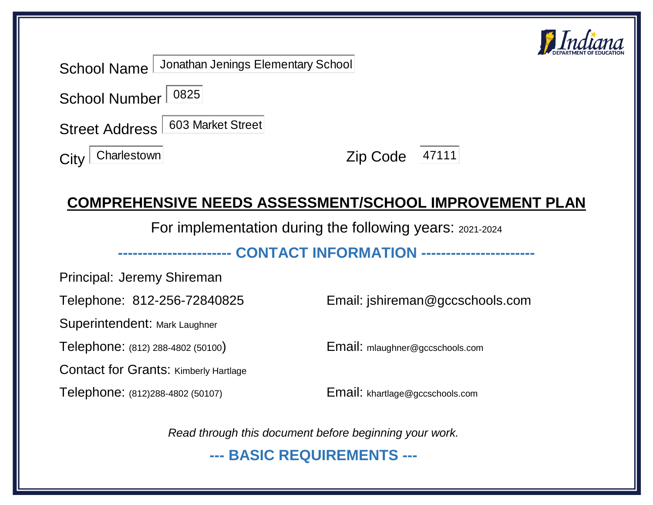

|                    | School Name Jonathan Jenings Elementary School |                |  |
|--------------------|------------------------------------------------|----------------|--|
| School Number 0825 |                                                |                |  |
|                    | Street Address 603 Market Street               |                |  |
| $City$ Charlestown |                                                | Zip Code 47111 |  |

# **COMPREHENSIVE NEEDS ASSESSMENT/SCHOOL IMPROVEMENT PLAN**

For implementation during the following years: 2021-2024

### **----------------------- CONTACT INFORMATION -----------------------**

Principal: Jeremy Shireman

Superintendent: Mark Laughner

Telephone: (812) 288-4802 (50100) Email: mlaughner@gccschools.com

Contact for Grants: Kimberly Hartlage

Telephone: (812)288-4802 (50107) Email: khartlage@gccschools.com

Telephone: 812-256-72840825 Email: jshireman@gccschools.com

*Read through this document before beginning your work.*

**--- BASIC REQUIREMENTS ---**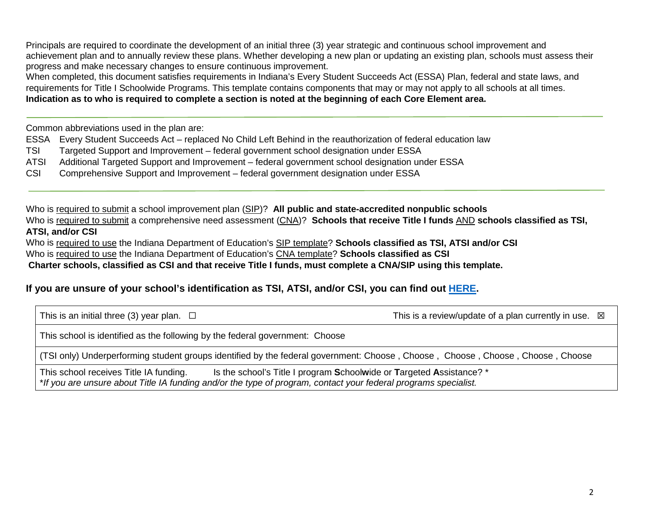Principals are required to coordinate the development of an initial three (3) year strategic and continuous school improvement and achievement plan and to annually review these plans. Whether developing a new plan or updating an existing plan, schools must assess their progress and make necessary changes to ensure continuous improvement.

When completed, this document satisfies requirements in Indiana's Every Student Succeeds Act (ESSA) Plan, federal and state laws, and requirements for Title I Schoolwide Programs. This template contains components that may or may not apply to all schools at all times. **Indication as to who is required to complete a section is noted at the beginning of each Core Element area.**

Common abbreviations used in the plan are:

ESSA Every Student Succeeds Act – replaced No Child Left Behind in the reauthorization of federal education law

- TSI Targeted Support and Improvement federal government school designation under ESSA
- ATSI Additional Targeted Support and Improvement federal government school designation under ESSA
- CSI Comprehensive Support and Improvement federal government designation under ESSA

Who is required to submit a school improvement plan (SIP)? **All public and state-accredited nonpublic schools** Who is required to submit a comprehensive need assessment (CNA)? **Schools that receive Title I funds** AND **schools classified as TSI,** 

**ATSI, and/or CSI**

Who is required to use the Indiana Department of Education's SIP template? **Schools classified as TSI, ATSI and/or CSI**

Who is required to use the Indiana Department of Education's CNA template? **Schools classified as CSI**

**Charter schools, classified as CSI and that receive Title I funds, must complete a CNA/SIP using this template.**

### **If you are unsure of your school's identification as TSI, ATSI, and/or CSI, you can find out [HERE.](https://www.doe.in.gov/sig)**

This school is identified as the following by the federal government: Choose

(TSI only) Underperforming student groups identified by the federal government: Choose , Choose , Choose , Choose , Choose , Choose

This school receives Title IA funding. Is the school's Title I program **S**chool**w**ide or **T**argeted **A**ssistance? \* \**If you are unsure about Title IA funding and/or the type of program, contact your federal programs specialist.*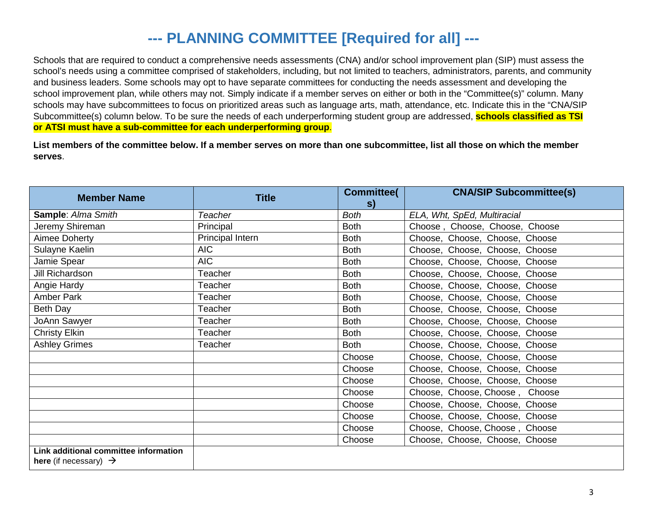# **--- PLANNING COMMITTEE [Required for all] ---**

Schools that are required to conduct a comprehensive needs assessments (CNA) and/or school improvement plan (SIP) must assess the school's needs using a committee comprised of stakeholders, including, but not limited to teachers, administrators, parents, and community and business leaders. Some schools may opt to have separate committees for conducting the needs assessment and developing the school improvement plan, while others may not. Simply indicate if a member serves on either or both in the "Committee(s)" column. Many schools may have subcommittees to focus on prioritized areas such as language arts, math, attendance, etc. Indicate this in the "CNA/SIP Subcommittee(s) column below. To be sure the needs of each underperforming student group are addressed, **schools classified as TSI or ATSI must have a sub-committee for each underperforming group**.

**List members of the committee below. If a member serves on more than one subcommittee, list all those on which the member serves**.

| <b>Member Name</b>                                                         | <b>Title</b>            | <b>Committee(</b><br>s) | <b>CNA/SIP Subcommittee(s)</b> |
|----------------------------------------------------------------------------|-------------------------|-------------------------|--------------------------------|
| Sample: Alma Smith                                                         | Teacher                 | <b>Both</b>             | ELA, Wht, SpEd, Multiracial    |
| Jeremy Shireman                                                            | Principal               | <b>Both</b>             | Choose, Choose, Choose, Choose |
| Aimee Doherty                                                              | <b>Principal Intern</b> | <b>Both</b>             | Choose, Choose, Choose, Choose |
| Sulayne Kaelin                                                             | AIC                     | <b>Both</b>             | Choose, Choose, Choose, Choose |
| Jamie Spear                                                                | <b>AIC</b>              | <b>Both</b>             | Choose, Choose, Choose, Choose |
| Jill Richardson                                                            | Teacher                 | <b>Both</b>             | Choose, Choose, Choose, Choose |
| Angie Hardy                                                                | Teacher                 | <b>Both</b>             | Choose, Choose, Choose, Choose |
| Amber Park                                                                 | Teacher                 | <b>Both</b>             | Choose, Choose, Choose, Choose |
| Beth Day                                                                   | Teacher                 | <b>Both</b>             | Choose, Choose, Choose, Choose |
| JoAnn Sawyer                                                               | Teacher                 | <b>Both</b>             | Choose, Choose, Choose, Choose |
| <b>Christy Elkin</b>                                                       | Teacher                 | <b>Both</b>             | Choose, Choose, Choose, Choose |
| <b>Ashley Grimes</b>                                                       | Teacher                 | <b>Both</b>             | Choose, Choose, Choose, Choose |
|                                                                            |                         | Choose                  | Choose, Choose, Choose, Choose |
|                                                                            |                         | Choose                  | Choose, Choose, Choose, Choose |
|                                                                            |                         | Choose                  | Choose, Choose, Choose, Choose |
|                                                                            |                         | Choose                  | Choose, Choose, Choose, Choose |
|                                                                            |                         | Choose                  | Choose, Choose, Choose, Choose |
|                                                                            |                         | Choose                  | Choose, Choose, Choose, Choose |
|                                                                            |                         | Choose                  | Choose, Choose, Choose, Choose |
|                                                                            |                         | Choose                  | Choose, Choose, Choose, Choose |
| Link additional committee information<br>here (if necessary) $\rightarrow$ |                         |                         |                                |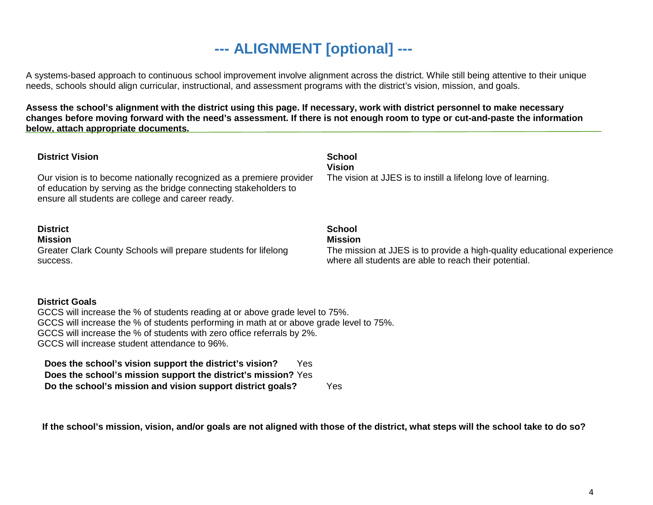# **--- ALIGNMENT [optional] ---**

A systems-based approach to continuous school improvement involve alignment across the district. While still being attentive to their unique needs, schools should align curricular, instructional, and assessment programs with the district's vision, mission, and goals.

**Assess the school's alignment with the district using this page. If necessary, work with district personnel to make necessary changes before moving forward with the need's assessment. If there is not enough room to type or cut-and-paste the information below, attach appropriate documents.**

| <b>District Vision</b><br>Our vision is to become nationally recognized as a premiere provider<br>of education by serving as the bridge connecting stakeholders to<br>ensure all students are college and career ready. | <b>School</b><br><b>Vision</b><br>The vision at JJES is to instill a lifelong love of learning.                                                                     |  |  |  |  |  |  |
|-------------------------------------------------------------------------------------------------------------------------------------------------------------------------------------------------------------------------|---------------------------------------------------------------------------------------------------------------------------------------------------------------------|--|--|--|--|--|--|
| <b>District</b><br><b>Mission</b><br>Greater Clark County Schools will prepare students for lifelong<br>success.                                                                                                        | <b>School</b><br><b>Mission</b><br>The mission at JJES is to provide a high-quality educational experience<br>where all students are able to reach their potential. |  |  |  |  |  |  |
| <b>District Goals</b><br>GCCS will increase the % of students reading at or above grade level to 75%.<br>CCCS will increase the % of students performing in math at or above grade level to 75%                         |                                                                                                                                                                     |  |  |  |  |  |  |

GCCS will increase the % of students performing in math at or above grade level to 75%. GCCS will increase the % of students with zero office referrals by 2%. GCCS will increase student attendance to 96%.

**Does the school's vision support the district's vision?** Yes **Does the school's mission support the district's mission?** Yes **Do the school's mission and vision support district goals?** Yes

**If the school's mission, vision, and/or goals are not aligned with those of the district, what steps will the school take to do so?**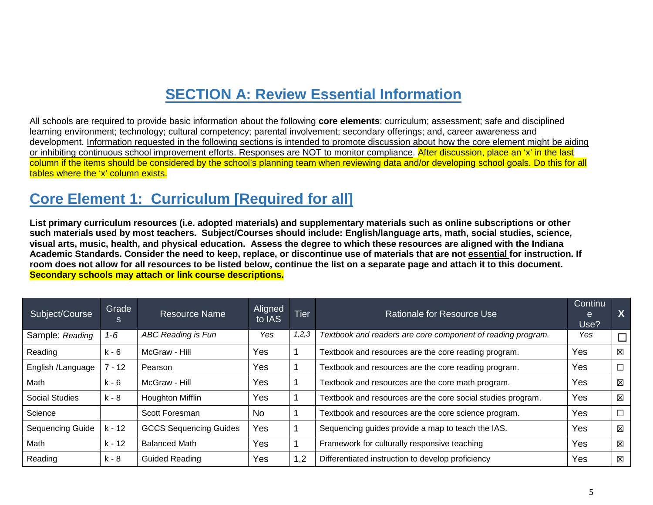## **SECTION A: Review Essential Information**

All schools are required to provide basic information about the following **core elements**: curriculum; assessment; safe and disciplined learning environment; technology; cultural competency; parental involvement; secondary offerings; and, career awareness and development. Information requested in the following sections is intended to promote discussion about how the core element might be aiding or inhibiting continuous school improvement efforts. Responses are NOT to monitor compliance. After discussion, place an 'x' in the last column if the items should be considered by the school's planning team when reviewing data and/or developing school goals. Do this for all tables where the 'x' column exists.

### **Core Element 1: Curriculum [Required for all]**

**List primary curriculum resources (i.e. adopted materials) and supplementary materials such as online subscriptions or other such materials used by most teachers. Subject/Courses should include: English/language arts, math, social studies, science, visual arts, music, health, and physical education. Assess the degree to which these resources are aligned with the Indiana Academic Standards. Consider the need to keep, replace, or discontinue use of materials that are not essential for instruction. If room does not allow for all resources to be listed below, continue the list on a separate page and attach it to this document. Secondary schools may attach or link course descriptions.**

| Subject/Course          | Grade<br>S | Resource Name                 | Aligned<br>to IAS | <b>Tier</b> | Rationale for Resource Use                                  | <b>Continu</b><br>e<br>Use? | X |
|-------------------------|------------|-------------------------------|-------------------|-------------|-------------------------------------------------------------|-----------------------------|---|
| Sample: Reading         | $1 - 6$    | ABC Reading is Fun            | Yes               | 1,2,3       | Textbook and readers are core component of reading program. | Yes                         |   |
| Reading                 | k - 6      | McGraw - Hill                 | Yes               |             | Textbook and resources are the core reading program.        | Yes                         | 区 |
| English /Language       | $-12$      | Pearson                       | Yes               |             | Textbook and resources are the core reading program.        | Yes                         |   |
| Math                    | k - 6      | McGraw - Hill                 | Yes               |             | Textbook and resources are the core math program.           | Yes                         | 区 |
| <b>Social Studies</b>   | k - 8      | <b>Houghton Mifflin</b>       | Yes               |             | Textbook and resources are the core social studies program. | Yes                         | 区 |
| Science                 |            | Scott Foresman                | No                |             | Textbook and resources are the core science program.        | Yes                         |   |
| <b>Sequencing Guide</b> | k - 12     | <b>GCCS Sequencing Guides</b> | Yes               |             | Sequencing guides provide a map to teach the IAS.           | Yes                         | 区 |
| Math                    | $k - 12$   | <b>Balanced Math</b>          | Yes               |             | Framework for culturally responsive teaching                | Yes                         | 区 |
| Reading                 | k - 8      | <b>Guided Reading</b>         | Yes               | 1,2         | Differentiated instruction to develop proficiency           | Yes                         | 区 |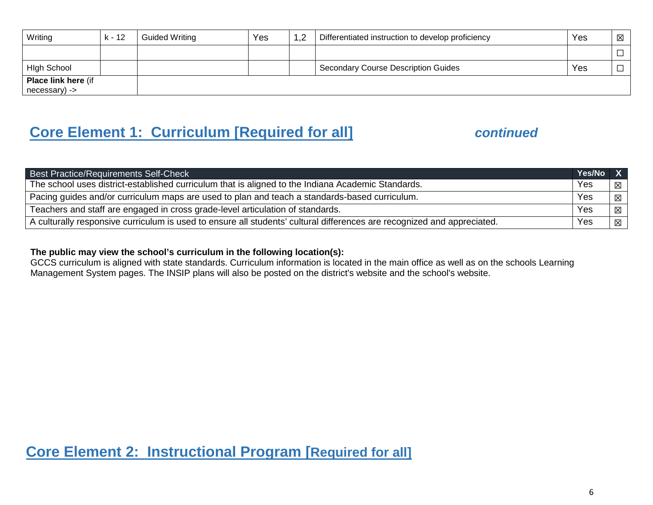| Writing                    | k - 12 | <b>Guided Writing</b> | Yes | 1,2 | Differentiated instruction to develop proficiency | Yes | $\boxtimes$ |
|----------------------------|--------|-----------------------|-----|-----|---------------------------------------------------|-----|-------------|
|                            |        |                       |     |     |                                                   |     |             |
| <b>High School</b>         |        |                       |     |     | <b>Secondary Course Description Guides</b>        | Yes |             |
| <b>Place link here (if</b> |        |                       |     |     |                                                   |     |             |
| necessary) ->              |        |                       |     |     |                                                   |     |             |

# **Core Element 1: Curriculum [Required for all]** *continued*

| <b>Best Practice/Requirements Self-Check</b>                                                                            | Yes/No X |   |  |
|-------------------------------------------------------------------------------------------------------------------------|----------|---|--|
| The school uses district-established curriculum that is aligned to the Indiana Academic Standards.                      | Yes      | 冈 |  |
| Pacing guides and/or curriculum maps are used to plan and teach a standards-based curriculum.                           |          |   |  |
| Teachers and staff are engaged in cross grade-level articulation of standards.                                          | Yes      | 冈 |  |
| A culturally responsive curriculum is used to ensure all students' cultural differences are recognized and appreciated. | Yes      | 区 |  |

#### **The public may view the school's curriculum in the following location(s):**

GCCS curriculum is aligned with state standards. Curriculum information is located in the main office as well as on the schools Learning Management System pages. The INSIP plans will also be posted on the district's website and the school's website.

**Core Element 2: Instructional Program [Required for all]**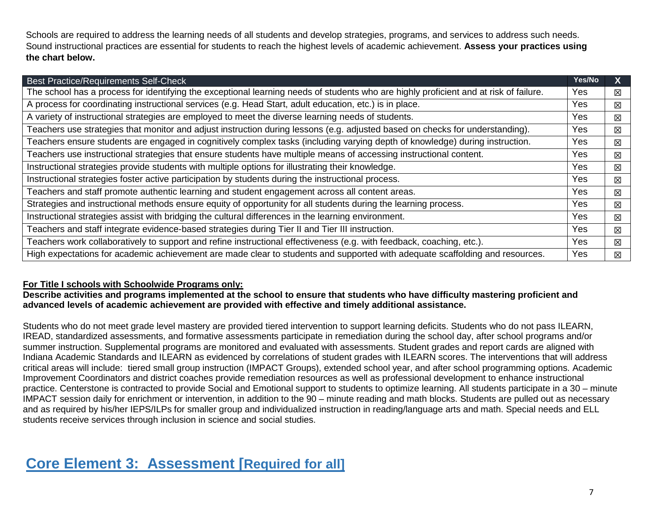Schools are required to address the learning needs of all students and develop strategies, programs, and services to address such needs. Sound instructional practices are essential for students to reach the highest levels of academic achievement. **Assess your practices using the chart below.**

| <b>Best Practice/Requirements Self-Check</b>                                                                                          | Yes/No     |   |  |  |  |
|---------------------------------------------------------------------------------------------------------------------------------------|------------|---|--|--|--|
| The school has a process for identifying the exceptional learning needs of students who are highly proficient and at risk of failure. | Yes        | 区 |  |  |  |
| A process for coordinating instructional services (e.g. Head Start, adult education, etc.) is in place.                               |            |   |  |  |  |
| A variety of instructional strategies are employed to meet the diverse learning needs of students.                                    | <b>Yes</b> | 区 |  |  |  |
| Teachers use strategies that monitor and adjust instruction during lessons (e.g. adjusted based on checks for understanding).         | <b>Yes</b> | 区 |  |  |  |
| Teachers ensure students are engaged in cognitively complex tasks (including varying depth of knowledge) during instruction.          | Yes        | 区 |  |  |  |
| Teachers use instructional strategies that ensure students have multiple means of accessing instructional content.                    | Yes        | 区 |  |  |  |
| Instructional strategies provide students with multiple options for illustrating their knowledge.                                     | Yes        | 区 |  |  |  |
| Instructional strategies foster active participation by students during the instructional process.                                    | <b>Yes</b> | 区 |  |  |  |
| Teachers and staff promote authentic learning and student engagement across all content areas.                                        | Yes        | 区 |  |  |  |
| Strategies and instructional methods ensure equity of opportunity for all students during the learning process.                       | Yes        | 区 |  |  |  |
| Instructional strategies assist with bridging the cultural differences in the learning environment.                                   | Yes        | 区 |  |  |  |
| Teachers and staff integrate evidence-based strategies during Tier II and Tier III instruction.                                       | Yes        | 区 |  |  |  |
| Teachers work collaboratively to support and refine instructional effectiveness (e.g. with feedback, coaching, etc.).                 | Yes        | 区 |  |  |  |
| High expectations for academic achievement are made clear to students and supported with adequate scaffolding and resources.          | Yes        | 区 |  |  |  |

#### **For Title I schools with Schoolwide Programs only:**

**Describe activities and programs implemented at the school to ensure that students who have difficulty mastering proficient and advanced levels of academic achievement are provided with effective and timely additional assistance.**

Students who do not meet grade level mastery are provided tiered intervention to support learning deficits. Students who do not pass ILEARN, IREAD, standardized assessments, and formative assessments participate in remediation during the school day, after school programs and/or summer instruction. Supplemental programs are monitored and evaluated with assessments. Student grades and report cards are aligned with Indiana Academic Standards and ILEARN as evidenced by correlations of student grades with ILEARN scores. The interventions that will address critical areas will include: tiered small group instruction (IMPACT Groups), extended school year, and after school programming options. Academic Improvement Coordinators and district coaches provide remediation resources as well as professional development to enhance instructional practice. Centerstone is contracted to provide Social and Emotional support to students to optimize learning. All students participate in a 30 – minute IMPACT session daily for enrichment or intervention, in addition to the 90 – minute reading and math blocks. Students are pulled out as necessary and as required by his/her IEPS/ILPs for smaller group and individualized instruction in reading/language arts and math. Special needs and ELL students receive services through inclusion in science and social studies.

## **Core Element 3: Assessment [Required for all]**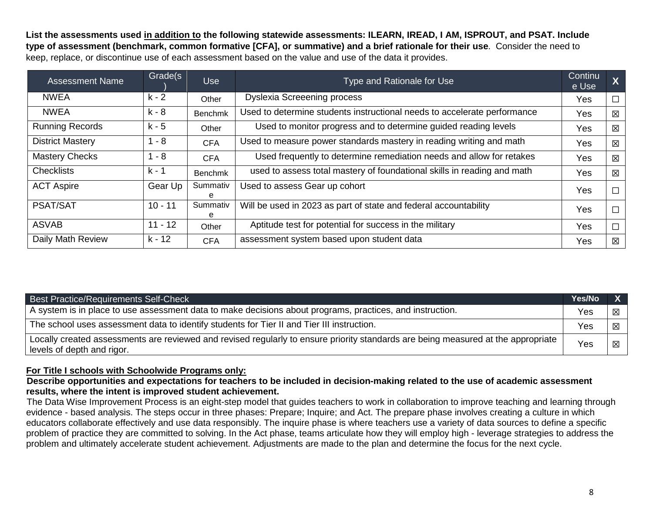**List the assessments used in addition to the following statewide assessments: ILEARN, IREAD, I AM, ISPROUT, and PSAT. Include type of assessment (benchmark, common formative [CFA], or summative) and a brief rationale for their use**. Consider the need to keep, replace, or discontinue use of each assessment based on the value and use of the data it provides.

| <b>Assessment Name</b>  | Grade(s   | <b>Use</b>     | Type and Rationale for Use                                               | <b>Continu</b><br>e Use | $\boldsymbol{X}$ |
|-------------------------|-----------|----------------|--------------------------------------------------------------------------|-------------------------|------------------|
| <b>NWEA</b>             | $k - 2$   | Other          | <b>Dyslexia Screeening process</b>                                       | Yes                     | $\Box$           |
| <b>NWEA</b>             | k - 8     | Benchmk        | Used to determine students instructional needs to accelerate performance | Yes                     | 区                |
| <b>Running Records</b>  | k - 5     | Other          | Used to monitor progress and to determine guided reading levels          | Yes                     | 区                |
| <b>District Mastery</b> | $1 - 8$   | <b>CFA</b>     | Used to measure power standards mastery in reading writing and math      | Yes                     | 区                |
| <b>Mastery Checks</b>   | $1 - 8$   | <b>CFA</b>     | Used frequently to determine remediation needs and allow for retakes     | Yes                     | 区                |
| <b>Checklists</b>       | k - 1     | <b>Benchmk</b> | used to assess total mastery of foundational skills in reading and math  | Yes                     | 区                |
| <b>ACT Aspire</b>       | Gear Up   | Summativ<br>е  | Used to assess Gear up cohort                                            | Yes                     | $\Box$           |
| <b>PSAT/SAT</b>         | $10 - 11$ | Summativ<br>е  | Will be used in 2023 as part of state and federal accountability         | Yes                     | $\Box$           |
| <b>ASVAB</b>            | $11 - 12$ | Other          | Aptitude test for potential for success in the military                  | Yes                     | $\Box$           |
| Daily Math Review       | k - 12    | <b>CFA</b>     | assessment system based upon student data                                | Yes                     | 区                |

| <b>Best Practice/Requirements Self-Check</b>                                                                                                                    | Yes/No |   |
|-----------------------------------------------------------------------------------------------------------------------------------------------------------------|--------|---|
| A system is in place to use assessment data to make decisions about programs, practices, and instruction.                                                       | Yes    | 区 |
| The school uses assessment data to identify students for Tier II and Tier III instruction.                                                                      | Yes    | 区 |
| Locally created assessments are reviewed and revised regularly to ensure priority standards are being measured at the appropriate<br>levels of depth and rigor. | Yes    | 区 |

#### **For Title I schools with Schoolwide Programs only:**

**Describe opportunities and expectations for teachers to be included in decision-making related to the use of academic assessment results, where the intent is improved student achievement.**

The Data Wise Improvement Process is an eight-step model that guides teachers to work in collaboration to improve teaching and learning through evidence - based analysis. The steps occur in three phases: Prepare; Inquire; and Act. The prepare phase involves creating a culture in which educators collaborate effectively and use data responsibly. The inquire phase is where teachers use a variety of data sources to define a specific problem of practice they are committed to solving. In the Act phase, teams articulate how they will employ high - leverage strategies to address the problem and ultimately accelerate student achievement. Adjustments are made to the plan and determine the focus for the next cycle.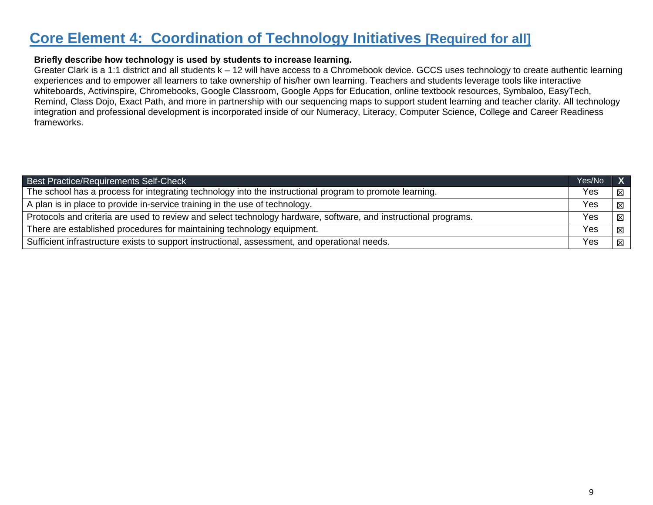### **Core Element 4: Coordination of Technology Initiatives [Required for all]**

#### **Briefly describe how technology is used by students to increase learning.**

Greater Clark is a 1:1 district and all students k – 12 will have access to a Chromebook device. GCCS uses technology to create authentic learning experiences and to empower all learners to take ownership of his/her own learning. Teachers and students leverage tools like interactive whiteboards, Activinspire, Chromebooks, Google Classroom, Google Apps for Education, online textbook resources, Symbaloo, EasyTech, Remind, Class Dojo, Exact Path, and more in partnership with our sequencing maps to support student learning and teacher clarity. All technology integration and professional development is incorporated inside of our Numeracy, Literacy, Computer Science, College and Career Readiness frameworks.

| <b>Best Practice/Requirements Self-Check</b>                                                                    | Yes/No |   |  |
|-----------------------------------------------------------------------------------------------------------------|--------|---|--|
| The school has a process for integrating technology into the instructional program to promote learning.         | Yes    | 冈 |  |
| A plan is in place to provide in-service training in the use of technology.                                     | Yes    | × |  |
| Protocols and criteria are used to review and select technology hardware, software, and instructional programs. |        |   |  |
| There are established procedures for maintaining technology equipment.                                          | Yes    | 区 |  |
| Sufficient infrastructure exists to support instructional, assessment, and operational needs.                   | Yes    | 区 |  |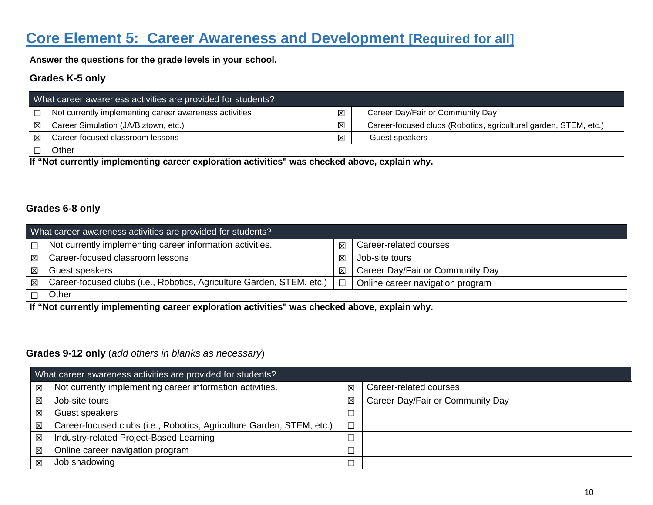## **Core Element 5: Career Awareness and Development [Required for all]**

**Answer the questions for the grade levels in your school.**

### **Grades K-5 only**

| What career awareness activities are provided for students? |                                                        |   |                                                                  |  |  |  |
|-------------------------------------------------------------|--------------------------------------------------------|---|------------------------------------------------------------------|--|--|--|
| $\Box$                                                      | Not currently implementing career awareness activities | 図 | Career Day/Fair or Community Day                                 |  |  |  |
| 区                                                           | Career Simulation (JA/Biztown, etc.)                   | ⊠ | Career-focused clubs (Robotics, agricultural garden, STEM, etc.) |  |  |  |
| 区                                                           | Career-focused classroom lessons                       | 冈 | Guest speakers                                                   |  |  |  |
|                                                             | Other                                                  |   |                                                                  |  |  |  |

**If "Not currently implementing career exploration activities" was checked above, explain why.** 

### **Grades 6-8 only**

|             | What career awareness activities are provided for students?           |        |                                  |  |  |  |  |
|-------------|-----------------------------------------------------------------------|--------|----------------------------------|--|--|--|--|
| $\Box$      | Not currently implementing career information activities.             | 冈      | Career-related courses           |  |  |  |  |
| $\boxtimes$ | Career-focused classroom lessons                                      | 冈      | Job-site tours                   |  |  |  |  |
| $\boxtimes$ | Guest speakers                                                        | 冈      | Career Day/Fair or Community Day |  |  |  |  |
| $\boxtimes$ | Career-focused clubs (i.e., Robotics, Agriculture Garden, STEM, etc.) | $\Box$ | Online career navigation program |  |  |  |  |
|             | Other                                                                 |        |                                  |  |  |  |  |

**If "Not currently implementing career exploration activities" was checked above, explain why.** 

#### **Grades 9-12 only** (*add others in blanks as necessary*)

|             | What career awareness activities are provided for students?           |        |                                  |
|-------------|-----------------------------------------------------------------------|--------|----------------------------------|
| $\boxtimes$ | Not currently implementing career information activities.             | 区      | Career-related courses           |
| 図           | Job-site tours                                                        | X      | Career Day/Fair or Community Day |
| 区           | Guest speakers                                                        | $\Box$ |                                  |
| 区           | Career-focused clubs (i.e., Robotics, Agriculture Garden, STEM, etc.) | $\Box$ |                                  |
| $\boxtimes$ | Industry-related Project-Based Learning                               | $\Box$ |                                  |
| 図           | Online career navigation program                                      | $\Box$ |                                  |
| 図           | Job shadowing                                                         |        |                                  |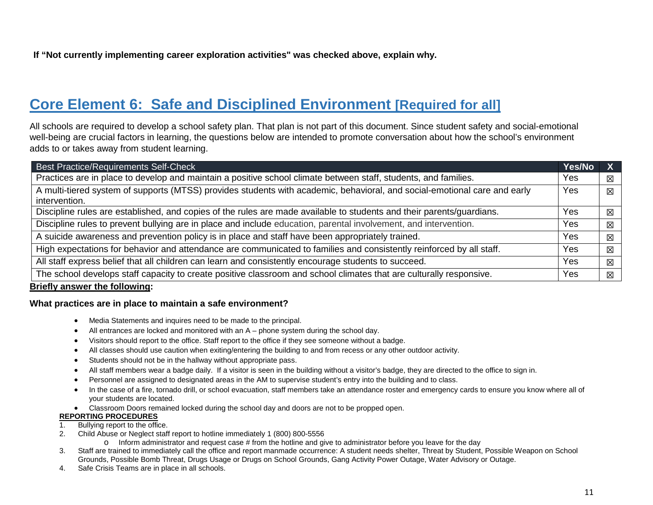# **Core Element 6: Safe and Disciplined Environment [Required for all]**

All schools are required to develop a school safety plan. That plan is not part of this document. Since student safety and social-emotional well-being are crucial factors in learning, the questions below are intended to promote conversation about how the school's environment adds to or takes away from student learning.

| Best Practice/Requirements Self-Check                                                                                     | Yes/No |             |
|---------------------------------------------------------------------------------------------------------------------------|--------|-------------|
| Practices are in place to develop and maintain a positive school climate between staff, students, and families.           | Yes    | 区           |
| A multi-tiered system of supports (MTSS) provides students with academic, behavioral, and social-emotional care and early | Yes    | X           |
| intervention.                                                                                                             |        |             |
| Discipline rules are established, and copies of the rules are made available to students and their parents/guardians.     | Yes    | 区           |
| Discipline rules to prevent bullying are in place and include education, parental involvement, and intervention.          | Yes    | $\boxtimes$ |
| A suicide awareness and prevention policy is in place and staff have been appropriately trained.                          | Yes    | $\boxtimes$ |
| High expectations for behavior and attendance are communicated to families and consistently reinforced by all staff.      | Yes    | 区           |
| All staff express belief that all children can learn and consistently encourage students to succeed.                      | Yes    | 区           |
| The school develops staff capacity to create positive classroom and school climates that are culturally responsive.       | Yes    | X           |
|                                                                                                                           |        |             |

#### **Briefly answer the following:**

#### **What practices are in place to maintain a safe environment?**

- Media Statements and inquires need to be made to the principal.
- All entrances are locked and monitored with an A phone system during the school day.
- Visitors should report to the office. Staff report to the office if they see someone without a badge.
- All classes should use caution when exiting/entering the building to and from recess or any other outdoor activity.
- Students should not be in the hallway without appropriate pass.
- All staff members wear a badge daily. If a visitor is seen in the building without a visitor's badge, they are directed to the office to sign in.
- Personnel are assigned to designated areas in the AM to supervise student's entry into the building and to class.
- In the case of a fire, tornado drill, or school evacuation, staff members take an attendance roster and emergency cards to ensure you know where all of your students are located.
- Classroom Doors remained locked during the school day and doors are not to be propped open.

#### **REPORTING PROCEDURES**

- 1. Bullying report to the office.
- 2. Child Abuse or Neglect staff report to hotline immediately 1 (800) 800-5556
	- $\circ$  Inform administrator and request case # from the hotline and give to administrator before you leave for the day
- 3. Staff are trained to immediately call the office and report manmade occurrence: A student needs shelter, Threat by Student, Possible Weapon on School Grounds, Possible Bomb Threat, Drugs Usage or Drugs on School Grounds, Gang Activity Power Outage, Water Advisory or Outage.
- 4. Safe Crisis Teams are in place in all schools.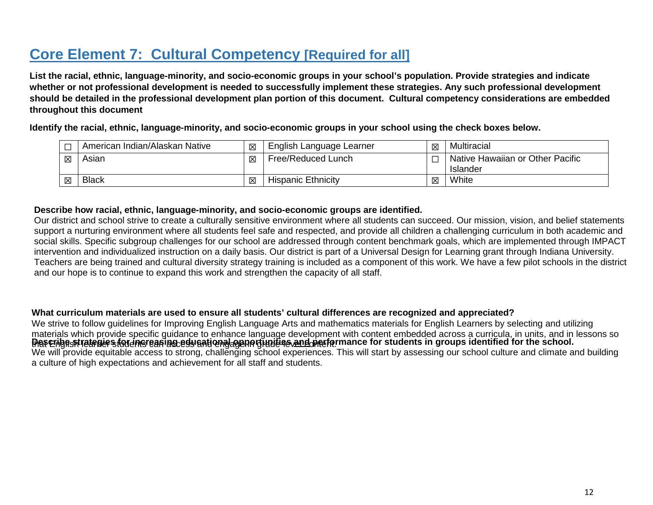# **Core Element 7: Cultural Competency [Required for all]**

**List the racial, ethnic, language-minority, and socio-economic groups in your school's population. Provide strategies and indicate whether or not professional development is needed to successfully implement these strategies. Any such professional development should be detailed in the professional development plan portion of this document. Cultural competency considerations are embedded throughout this document**

**Identify the racial, ethnic, language-minority, and socio-economic groups in your school using the check boxes below.**

|   | <sup>1</sup> American Indian/Alaskan Native | 区 | English Language Learner  | 冈 | Multiracial                                  |
|---|---------------------------------------------|---|---------------------------|---|----------------------------------------------|
| 区 | Asian                                       | 区 | Free/Reduced Lunch        |   | Native Hawaiian or Other Pacific<br>Islander |
| 区 | <b>Black</b>                                | 区 | <b>Hispanic Ethnicity</b> | 区 | White                                        |

#### **Describe how racial, ethnic, language-minority, and socio-economic groups are identified.**

Our district and school strive to create a culturally sensitive environment where all students can succeed. Our mission, vision, and belief statements support a nurturing environment where all students feel safe and respected, and provide all children a challenging curriculum in both academic and social skills. Specific subgroup challenges for our school are addressed through content benchmark goals, which are implemented through IMPACT intervention and individualized instruction on a daily basis. Our district is part of a Universal Design for Learning grant through Indiana University. Teachers are being trained and cultural diversity strategy training is included as a component of this work. We have a few pilot schools in the district and our hope is to continue to expand this work and strengthen the capacity of all staff.

#### **What curriculum materials are used to ensure all students' cultural differences are recognized and appreciated?**

Pescrigest retenies for increasing educational generginaties and performance for students in groups identified for the school. We will provide equitable access to strong, challenging school experiences. This will start by assessing our school culture and climate and building a culture of high expectations and achievement for all staff and students. We strive to follow guidelines for Improving English Language Arts and mathematics materials for English Learners by selecting and utilizing materials which provide specific guidance to enhance language development with content embedded across a curricula, in units, and in lessons so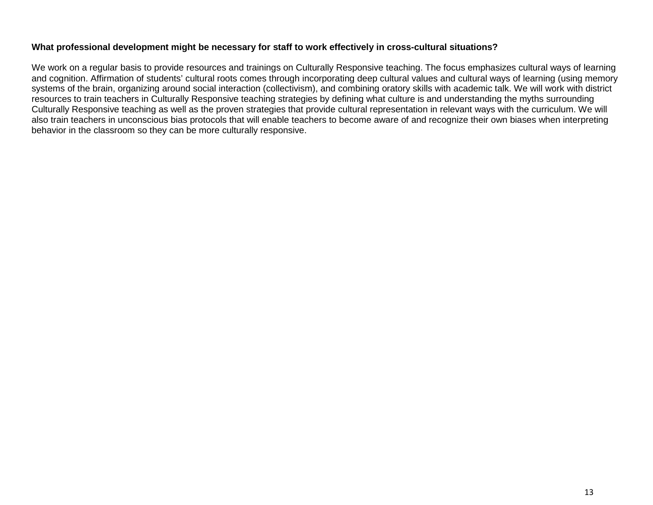#### **What professional development might be necessary for staff to work effectively in cross-cultural situations?**

We work on a regular basis to provide resources and trainings on Culturally Responsive teaching. The focus emphasizes cultural ways of learning and cognition. Affirmation of students' cultural roots comes through incorporating deep cultural values and cultural ways of learning (using memory systems of the brain, organizing around social interaction (collectivism), and combining oratory skills with academic talk. We will work with district resources to train teachers in Culturally Responsive teaching strategies by defining what culture is and understanding the myths surrounding Culturally Responsive teaching as well as the proven strategies that provide cultural representation in relevant ways with the curriculum. We will also train teachers in unconscious bias protocols that will enable teachers to become aware of and recognize their own biases when interpreting behavior in the classroom so they can be more culturally responsive.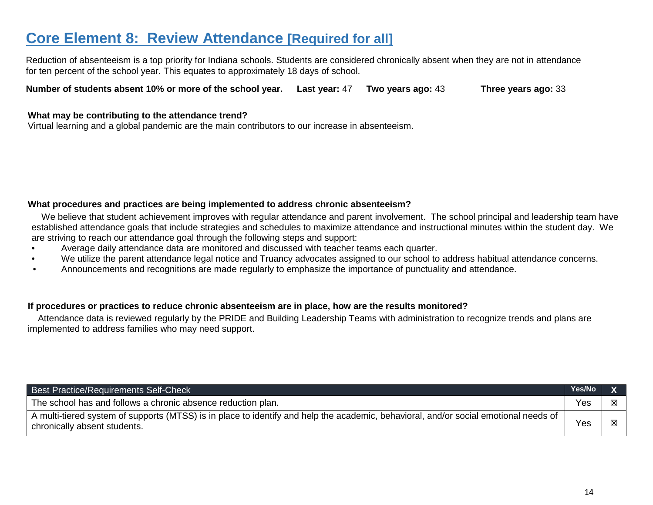### **Core Element 8: Review Attendance [Required for all]**

Reduction of absenteeism is a top priority for Indiana schools. Students are considered chronically absent when they are not in attendance for ten percent of the school year. This equates to approximately 18 days of school.

**Number of students absent 10% or more of the school year. Last year:** 47 **Two years ago:** 43 **Three years ago:** 33

#### **What may be contributing to the attendance trend?**

Virtual learning and a global pandemic are the main contributors to our increase in absenteeism.

#### **What procedures and practices are being implemented to address chronic absenteeism?**

We believe that student achievement improves with regular attendance and parent involvement. The school principal and leadership team have established attendance goals that include strategies and schedules to maximize attendance and instructional minutes within the student day. We are striving to reach our attendance goal through the following steps and support:

- Average daily attendance data are monitored and discussed with teacher teams each quarter.
- We utilize the parent attendance legal notice and Truancy advocates assigned to our school to address habitual attendance concerns.
- Announcements and recognitions are made regularly to emphasize the importance of punctuality and attendance.

#### **If procedures or practices to reduce chronic absenteeism are in place, how are the results monitored?**

Attendance data is reviewed regularly by the PRIDE and Building Leadership Teams with administration to recognize trends and plans are implemented to address families who may need support.

| <b>Best Practice/Requirements Self-Check</b>                                                                                                                         | Yes/No |  |
|----------------------------------------------------------------------------------------------------------------------------------------------------------------------|--------|--|
| The school has and follows a chronic absence reduction plan.                                                                                                         | Yes    |  |
| A multi-tiered system of supports (MTSS) is in place to identify and help the academic, behavioral, and/or social emotional needs of<br>chronically absent students. | Yes    |  |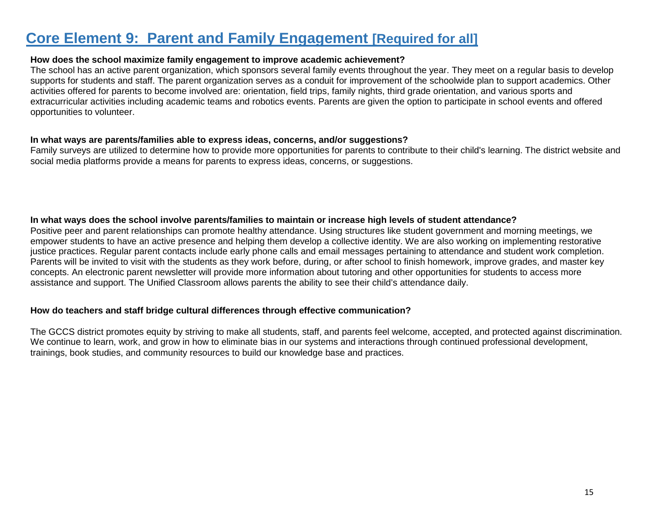### **Core Element 9: Parent and Family Engagement [Required for all]**

#### **How does the school maximize family engagement to improve academic achievement?**

The school has an active parent organization, which sponsors several family events throughout the year. They meet on a regular basis to develop supports for students and staff. The parent organization serves as a conduit for improvement of the schoolwide plan to support academics. Other activities offered for parents to become involved are: orientation, field trips, family nights, third grade orientation, and various sports and extracurricular activities including academic teams and robotics events. Parents are given the option to participate in school events and offered opportunities to volunteer.

#### **In what ways are parents/families able to express ideas, concerns, and/or suggestions?**

Family surveys are utilized to determine how to provide more opportunities for parents to contribute to their child's learning. The district website and social media platforms provide a means for parents to express ideas, concerns, or suggestions.

#### **In what ways does the school involve parents/families to maintain or increase high levels of student attendance?**

Positive peer and parent relationships can promote healthy attendance. Using structures like student government and morning meetings, we empower students to have an active presence and helping them develop a collective identity. We are also working on implementing restorative justice practices. Regular parent contacts include early phone calls and email messages pertaining to attendance and student work completion. Parents will be invited to visit with the students as they work before, during, or after school to finish homework, improve grades, and master key concepts. An electronic parent newsletter will provide more information about tutoring and other opportunities for students to access more assistance and support. The Unified Classroom allows parents the ability to see their child's attendance daily.

#### **How do teachers and staff bridge cultural differences through effective communication?**

The GCCS district promotes equity by striving to make all students, staff, and parents feel welcome, accepted, and protected against discrimination. We continue to learn, work, and grow in how to eliminate bias in our systems and interactions through continued professional development, trainings, book studies, and community resources to build our knowledge base and practices.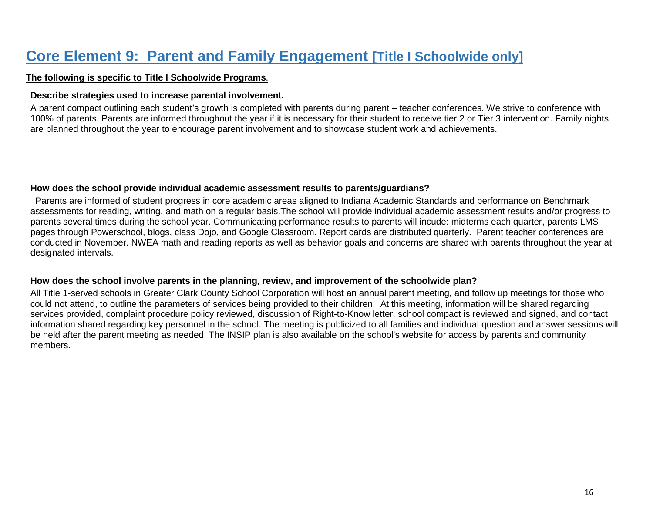## **Core Element 9: Parent and Family Engagement [Title I Schoolwide only]**

#### **The following is specific to Title I Schoolwide Programs**.

#### **Describe strategies used to increase parental involvement.**

A parent compact outlining each student's growth is completed with parents during parent – teacher conferences. We strive to conference with 100% of parents. Parents are informed throughout the year if it is necessary for their student to receive tier 2 or Tier 3 intervention. Family nights are planned throughout the year to encourage parent involvement and to showcase student work and achievements.

#### **How does the school provide individual academic assessment results to parents/guardians?**

Parents are informed of student progress in core academic areas aligned to Indiana Academic Standards and performance on Benchmark assessments for reading, writing, and math on a regular basis.The school will provide individual academic assessment results and/or progress to parents several times during the school year. Communicating performance results to parents will incude: midterms each quarter, parents LMS pages through Powerschool, blogs, class Dojo, and Google Classroom. Report cards are distributed quarterly. Parent teacher conferences are conducted in November. NWEA math and reading reports as well as behavior goals and concerns are shared with parents throughout the year at designated intervals.

#### **How does the school involve parents in the planning**, **review, and improvement of the schoolwide plan?**

All Title 1-served schools in Greater Clark County School Corporation will host an annual parent meeting, and follow up meetings for those who could not attend, to outline the parameters of services being provided to their children. At this meeting, information will be shared regarding services provided, complaint procedure policy reviewed, discussion of Right-to-Know letter, school compact is reviewed and signed, and contact information shared regarding key personnel in the school. The meeting is publicized to all families and individual question and answer sessions will be held after the parent meeting as needed. The INSIP plan is also available on the school's website for access by parents and community members.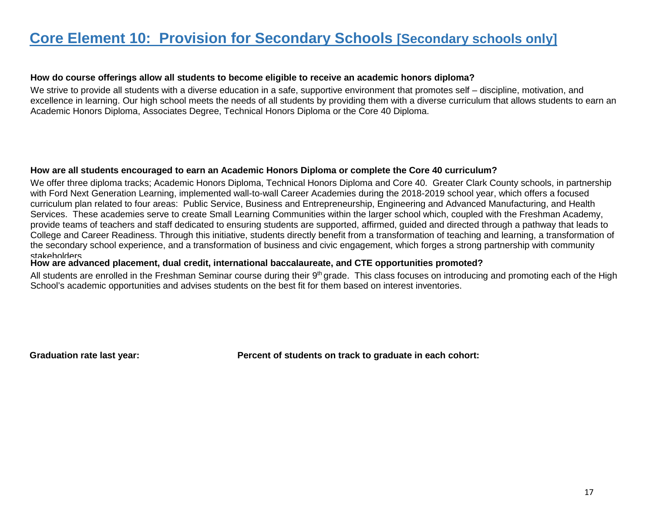### **Core Element 10: Provision for Secondary Schools [Secondary schools only]**

#### **How do course offerings allow all students to become eligible to receive an academic honors diploma?**

We strive to provide all students with a diverse education in a safe, supportive environment that promotes self – discipline, motivation, and excellence in learning. Our high school meets the needs of all students by providing them with a diverse curriculum that allows students to earn an Academic Honors Diploma, Associates Degree, Technical Honors Diploma or the Core 40 Diploma.

#### **How are all students encouraged to earn an Academic Honors Diploma or complete the Core 40 curriculum?**

We offer three diploma tracks; Academic Honors Diploma, Technical Honors Diploma and Core 40. Greater Clark County schools, in partnership with Ford Next Generation Learning, implemented wall-to-wall Career Academies during the 2018-2019 school year, which offers a focused curriculum plan related to four areas: Public Service, Business and Entrepreneurship, Engineering and Advanced Manufacturing, and Health Services. These academies serve to create Small Learning Communities within the larger school which, coupled with the Freshman Academy, provide teams of teachers and staff dedicated to ensuring students are supported, affirmed, guided and directed through a pathway that leads to College and Career Readiness. Through this initiative, students directly benefit from a transformation of teaching and learning, a transformation of the secondary school experience, and a transformation of business and civic engagement, which forges a strong partnership with community stakeholders

#### **How are advanced placement, dual credit, international baccalaureate, and CTE opportunities promoted?**

All students are enrolled in the Freshman Seminar course during their 9<sup>th</sup> grade. This class focuses on introducing and promoting each of the High School's academic opportunities and advises students on the best fit for them based on interest inventories.

**Graduation rate last year: Percent of students on track to graduate in each cohort:**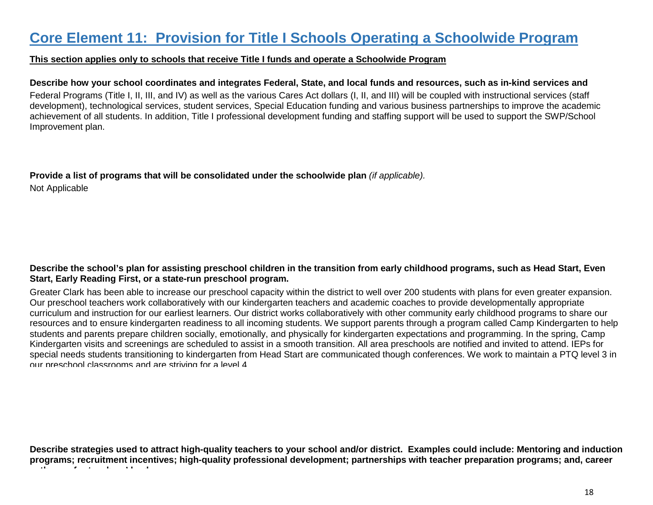### **Core Element 11: Provision for Title I Schools Operating a Schoolwide Program**

#### **This section applies only to schools that receive Title I funds and operate a Schoolwide Program**

#### **Describe how your school coordinates and integrates Federal, State, and local funds and resources, such as in-kind services and**

Federal Programs (Title I, II, III, and IV) as well as the various Cares Act dollars **t** (I, II, and III) will be coupled with instructional services (staff development), technological services, student services, Special Education funding and various business partnerships to improve the academic achievement of all students. In addition, Title I professional development funding and staffing support will be used to support the SWP/School Improvement plan.

**Provide a list of programs that will be consolidated under the schoolwide plan** *(if applicable).* Not Applicable

#### **Describe the school's plan for assisting preschool children in the transition from early childhood programs, such as Head Start, Even Start, Early Reading First, or a state-run preschool program.**

Greater Clark has been able to increase our preschool capacity within the district to well over 200 students with plans for even greater expansion. Our preschool teachers work collaboratively with our kindergarten teachers and academic coaches to provide developmentally appropriate curriculum and instruction for our earliest learners. Our district works collaboratively with other community early childhood programs to share our resources and to ensure kindergarten readiness to all incoming students. We support parents through a program called Camp Kindergarten to help students and parents prepare children socially, emotionally, and physically for kindergarten expectations and programming. In the spring, Camp Kindergarten visits and screenings are scheduled to assist in a smooth transition. All area preschools are notified and invited to attend. IEPs for special needs students transitioning to kindergarten from Head Start are communicated though conferences. We work to maintain a PTQ level 3 in our preschool classrooms and are striving for a level 4

**Describe strategies used to attract high-quality teachers to your school and/or district. Examples could include: Mentoring and induction programs; recruitment incentives; high-quality professional development; partnerships with teacher preparation programs; and, career th** f t d<sup>at</sup> d<sup>2</sup> d<sup>2</sup> d<sup>2</sup>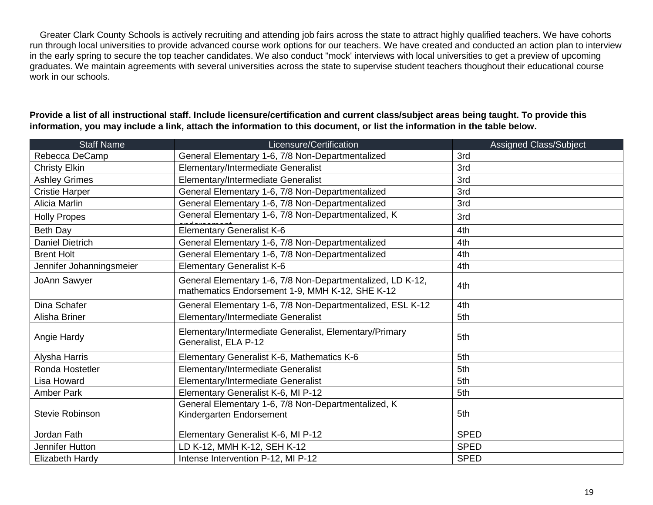Greater Clark County Schools is actively recruiting and attending job fairs across the state to attract highly qualified teachers. We have cohorts run through local universities to provide advanced course work options for our teachers. We have created and conducted an action plan to interview in the early spring to secure the top teacher candidates. We also conduct "mock' interviews with local universities to get a preview of upcoming graduates. We maintain agreements with several universities across the state to supervise student teachers thoughout their educational course work in our schools.

**Provide a list of all instructional staff. Include licensure/certification and current class/subject areas being taught. To provide this information, you may include a link, attach the information to this document, or list the information in the table below.**

| <b>Staff Name</b>        | Licensure/Certification                                                                                       | Assigned Class/Subject |
|--------------------------|---------------------------------------------------------------------------------------------------------------|------------------------|
| Rebecca DeCamp           | General Elementary 1-6, 7/8 Non-Departmentalized                                                              | 3rd                    |
| <b>Christy Elkin</b>     | Elementary/Intermediate Generalist                                                                            | 3rd                    |
| <b>Ashley Grimes</b>     | Elementary/Intermediate Generalist                                                                            | 3rd                    |
| <b>Cristie Harper</b>    | General Elementary 1-6, 7/8 Non-Departmentalized                                                              | 3rd                    |
| Alicia Marlin            | General Elementary 1-6, 7/8 Non-Departmentalized                                                              | 3rd                    |
| <b>Holly Propes</b>      | General Elementary 1-6, 7/8 Non-Departmentalized, K                                                           | 3rd                    |
| Beth Day                 | <b>Elementary Generalist K-6</b>                                                                              | 4th                    |
| <b>Daniel Dietrich</b>   | General Elementary 1-6, 7/8 Non-Departmentalized                                                              | 4th                    |
| <b>Brent Holt</b>        | General Elementary 1-6, 7/8 Non-Departmentalized                                                              | 4th                    |
| Jennifer Johanningsmeier | <b>Elementary Generalist K-6</b>                                                                              | 4th                    |
| JoAnn Sawyer             | General Elementary 1-6, 7/8 Non-Departmentalized, LD K-12,<br>mathematics Endorsement 1-9, MMH K-12, SHE K-12 | 4th                    |
| Dina Schafer             | General Elementary 1-6, 7/8 Non-Departmentalized, ESL K-12                                                    | 4th                    |
| Alisha Briner            | Elementary/Intermediate Generalist                                                                            | 5th                    |
| Angie Hardy              | Elementary/Intermediate Generalist, Elementary/Primary<br>Generalist, ELA P-12                                | 5th                    |
| Alysha Harris            | Elementary Generalist K-6, Mathematics K-6                                                                    | 5th                    |
| Ronda Hostetler          | Elementary/Intermediate Generalist                                                                            | 5th                    |
| Lisa Howard              | Elementary/Intermediate Generalist                                                                            | 5th                    |
| <b>Amber Park</b>        | Elementary Generalist K-6, MI P-12                                                                            | 5th                    |
| <b>Stevie Robinson</b>   | General Elementary 1-6, 7/8 Non-Departmentalized, K<br>Kindergarten Endorsement                               | 5th                    |
| Jordan Fath              | Elementary Generalist K-6, MI P-12                                                                            | <b>SPED</b>            |
| Jennifer Hutton          | LD K-12, MMH K-12, SEH K-12                                                                                   | <b>SPED</b>            |
| Elizabeth Hardy          | Intense Intervention P-12, MI P-12                                                                            | <b>SPED</b>            |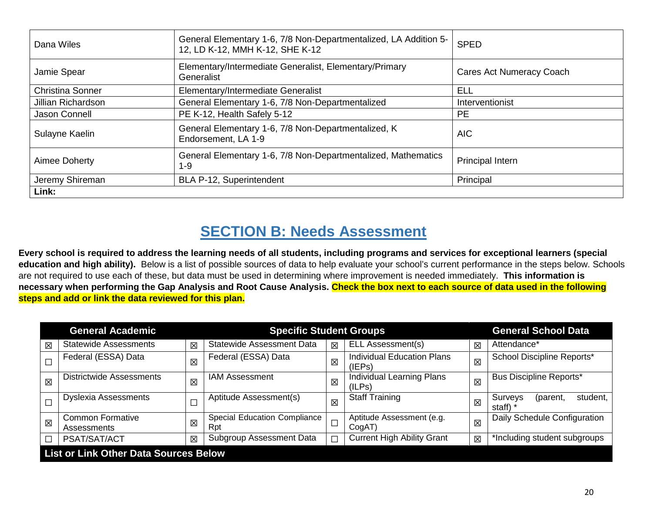| Dana Wiles              | General Elementary 1-6, 7/8 Non-Departmentalized, LA Addition 5-<br>12, LD K-12, MMH K-12, SHE K-12 | <b>SPED</b>              |
|-------------------------|-----------------------------------------------------------------------------------------------------|--------------------------|
| Jamie Spear             | Elementary/Intermediate Generalist, Elementary/Primary<br>Generalist                                | Cares Act Numeracy Coach |
| <b>Christina Sonner</b> | Elementary/Intermediate Generalist                                                                  | <b>ELL</b>               |
| Jillian Richardson      | General Elementary 1-6, 7/8 Non-Departmentalized                                                    | Interventionist          |
| Jason Connell           | PE K-12, Health Safely 5-12                                                                         | <b>PE</b>                |
| Sulayne Kaelin          | General Elementary 1-6, 7/8 Non-Departmentalized, K<br>Endorsement, LA 1-9                          | <b>AIC</b>               |
| Aimee Doherty           | General Elementary 1-6, 7/8 Non-Departmentalized, Mathematics<br>$1 - 9$                            | <b>Principal Intern</b>  |
| Jeremy Shireman         | BLA P-12, Superintendent                                                                            | Principal                |
| Link:                   |                                                                                                     |                          |

# **SECTION B: Needs Assessment**

**Every school is required to address the learning needs of all students, including programs and services for exceptional learners (special education and high ability).** Below is a list of possible sources of data to help evaluate your school's current performance in the steps below. Schools are not required to use each of these, but data must be used in determining where improvement is needed immediately. **This information is necessary when performing the Gap Analysis and Root Cause Analysis. Check the box next to each source of data used in the following steps and add or link the data reviewed for this plan.**

| <b>General Academic</b><br><b>Specific Student Groups</b> |                                              |             |                                            |             |                                             |   | <b>General School Data</b>                       |  |
|-----------------------------------------------------------|----------------------------------------------|-------------|--------------------------------------------|-------------|---------------------------------------------|---|--------------------------------------------------|--|
| 区                                                         | <b>Statewide Assessments</b>                 | 区           | <b>Statewide Assessment Data</b>           | $\boxtimes$ | ELL Assessment(s)                           | 冈 | Attendance*                                      |  |
|                                                           | Federal (ESSA) Data                          | 区           | Federal (ESSA) Data                        | $\boxtimes$ | <b>Individual Education Plans</b><br>(IEPs) | 区 | School Discipline Reports*                       |  |
| $\boxtimes$                                               | <b>Districtwide Assessments</b>              | $\boxtimes$ | <b>IAM Assessment</b>                      | 区           | <b>Individual Learning Plans</b><br>(ILPs)  | 区 | <b>Bus Discipline Reports*</b>                   |  |
|                                                           | <b>Dyslexia Assessments</b>                  |             | Aptitude Assessment(s)                     | 区           | <b>Staff Training</b>                       | 区 | <b>Surveys</b><br>student.<br>(parent,<br>staff) |  |
| $\boxtimes$                                               | <b>Common Formative</b><br>Assessments       | 区           | <b>Special Education Compliance</b><br>Rpt | $\Box$      | Aptitude Assessment (e.g.<br>CoqAT          | 区 | Daily Schedule Configuration                     |  |
| □                                                         | PSAT/SAT/ACT                                 | 区           | Subgroup Assessment Data                   | $\Box$      | <b>Current High Ability Grant</b>           | 区 | *Including student subgroups                     |  |
|                                                           | <b>List or Link Other Data Sources Below</b> |             |                                            |             |                                             |   |                                                  |  |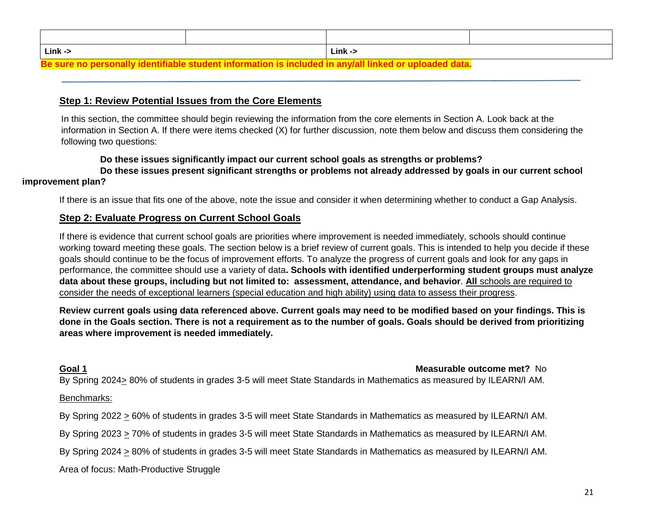| $Link \rightarrow$ | $Link \rightarrow$ |  |  |  |
|--------------------|--------------------|--|--|--|
|                    |                    |  |  |  |

#### **Be sure no personally identifiable student information is included in any/all linked or uploaded data.**

#### **Step 1: Review Potential Issues from the Core Elements**

In this section, the committee should begin reviewing the information from the core elements in Section A. Look back at the information in Section A. If there were items checked (X) for further discussion, note them below and discuss them considering the following two questions:

#### **Do these issues significantly impact our current school goals as strengths or problems?**

**Do these issues present significant strengths or problems not already addressed by goals in our current school improvement plan?**

If there is an issue that fits one of the above, note the issue and consider it when determining whether to conduct a Gap Analysis.

#### **Step 2: Evaluate Progress on Current School Goals**

If there is evidence that current school goals are priorities where improvement is needed immediately, schools should continue working toward meeting these goals. The section below is a brief review of current goals. This is intended to help you decide if these goals should continue to be the focus of improvement efforts. To analyze the progress of current goals and look for any gaps in performance, the committee should use a variety of data**. Schools with identified underperforming student groups must analyze data about these groups, including but not limited to: assessment, attendance, and behavior**. **All** schools are required to consider the needs of exceptional learners (special education and high ability) using data to assess their progress.

**Review current goals using data referenced above. Current goals may need to be modified based on your findings. This is done in the Goals section. There is not a requirement as to the number of goals. Goals should be derived from prioritizing areas where improvement is needed immediately.**

#### **Goal 1 Measurable outcome met?** No

By Spring 2024> 80% of students in grades 3-5 will meet State Standards in Mathematics as measured by ILEARN/I AM.

#### Benchmarks:

By Spring 2022 > 60% of students in grades 3-5 will meet State Standards in Mathematics as measured by ILEARN/I AM.

By Spring 2023 > 70% of students in grades 3-5 will meet State Standards in Mathematics as measured by ILEARN/I AM.

By Spring 2024 > 80% of students in grades 3-5 will meet State Standards in Mathematics as measured by ILEARN/I AM.

Area of focus: Math-Productive Struggle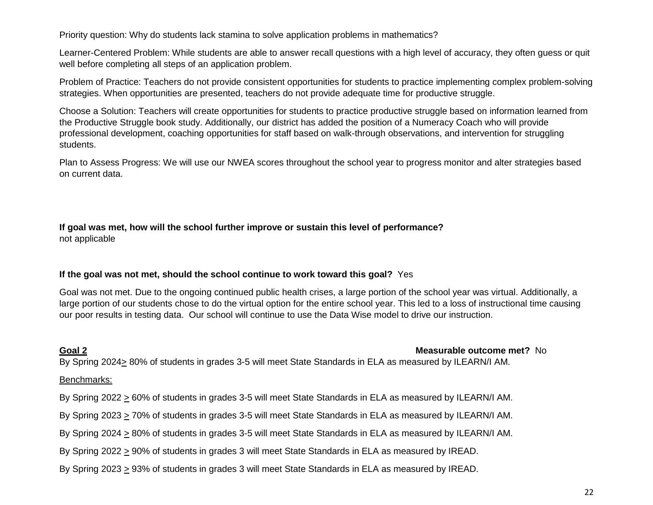Priority question: Why do students lack stamina to solve application problems in mathematics?

Learner-Centered Problem: While students are able to answer recall questions with a high level of accuracy, they often guess or quit well before completing all steps of an application problem.

Problem of Practice: Teachers do not provide consistent opportunities for students to practice implementing complex problem-solving strategies. When opportunities are presented, teachers do not provide adequate time for productive struggle.

Choose a Solution: Teachers will create opportunities for students to practice productive struggle based on information learned from the Productive Struggle book study. Additionally, our district has added the position of a Numeracy Coach who will provide professional development, coaching opportunities for staff based on walk-through observations, and intervention for struggling students.

Plan to Assess Progress: We will use our NWEA scores throughout the school year to progress monitor and alter strategies based on current data.

#### **If goal was met, how will the school further improve or sustain this level of performance?** not applicable

#### **If the goal was not met, should the school continue to work toward this goal?** Yes

Goal was not met. Due to the ongoing continued public health crises, a large portion of the school year was virtual. Additionally, a large portion of our students chose to do the virtual option for the entire school year. This led to a loss of instructional time causing our poor results in testing data. Our school will continue to use the Data Wise model to drive our instruction.

**Goal 2 Measurable outcome met?** No

By Spring 2024> 80% of students in grades 3-5 will meet State Standards in ELA as measured by ILEARN/I AM.

#### Benchmarks:

- By Spring 2022  $\geq$  60% of students in grades 3-5 will meet State Standards in ELA as measured by ILEARN/I AM.
- By Spring 2023 > 70% of students in grades 3-5 will meet State Standards in ELA as measured by ILEARN/I AM.
- By Spring 2024 > 80% of students in grades 3-5 will meet State Standards in ELA as measured by ILEARN/I AM.
- By Spring 2022 > 90% of students in grades 3 will meet State Standards in ELA as measured by IREAD.
- By Spring 2023  $\geq$  93% of students in grades 3 will meet State Standards in ELA as measured by IREAD.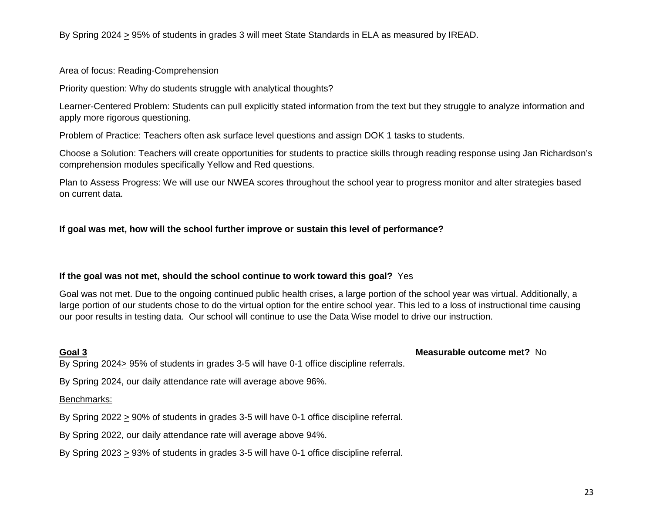By Spring 2024 > 95% of students in grades 3 will meet State Standards in ELA as measured by IREAD.

#### Area of focus: Reading-Comprehension

Priority question: Why do students struggle with analytical thoughts?

Learner-Centered Problem: Students can pull explicitly stated information from the text but they struggle to analyze information and apply more rigorous questioning.

Problem of Practice: Teachers often ask surface level questions and assign DOK 1 tasks to students.

Choose a Solution: Teachers will create opportunities for students to practice skills through reading response using Jan Richardson's comprehension modules specifically Yellow and Red questions.

Plan to Assess Progress: We will use our NWEA scores throughout the school year to progress monitor and alter strategies based on current data.

#### **If goal was met, how will the school further improve or sustain this level of performance?**

#### **If the goal was not met, should the school continue to work toward this goal?** Yes

Goal was not met. Due to the ongoing continued public health crises, a large portion of the school year was virtual. Additionally, a large portion of our students chose to do the virtual option for the entire school year. This led to a loss of instructional time causing our poor results in testing data. Our school will continue to use the Data Wise model to drive our instruction.

#### **Goal 3 Measurable outcome met?** No

By Spring  $2024 \geq 95\%$  of students in grades 3-5 will have 0-1 office discipline referrals.

By Spring 2024, our daily attendance rate will average above 96%.

#### Benchmarks:

By Spring 2022  $\geq$  90% of students in grades 3-5 will have 0-1 office discipline referral.

By Spring 2022, our daily attendance rate will average above 94%.

By Spring 2023 > 93% of students in grades 3-5 will have 0-1 office discipline referral.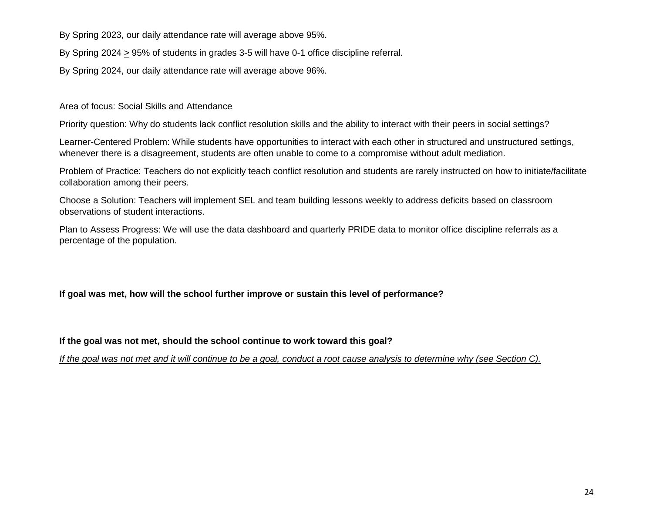By Spring 2023, our daily attendance rate will average above 95%.

By Spring 2024 > 95% of students in grades 3-5 will have 0-1 office discipline referral.

By Spring 2024, our daily attendance rate will average above 96%.

Area of focus: Social Skills and Attendance

Priority question: Why do students lack conflict resolution skills and the ability to interact with their peers in social settings?

Learner-Centered Problem: While students have opportunities to interact with each other in structured and unstructured settings, whenever there is a disagreement, students are often unable to come to a compromise without adult mediation.

Problem of Practice: Teachers do not explicitly teach conflict resolution and students are rarely instructed on how to initiate/facilitate collaboration among their peers.

Choose a Solution: Teachers will implement SEL and team building lessons weekly to address deficits based on classroom observations of student interactions.

Plan to Assess Progress: We will use the data dashboard and quarterly PRIDE data to monitor office discipline referrals as a percentage of the population.

**If goal was met, how will the school further improve or sustain this level of performance?**

**If the goal was not met, should the school continue to work toward this goal?**

*If the goal was not met and it will continue to be a goal, conduct a root cause analysis to determine why (see Section C).*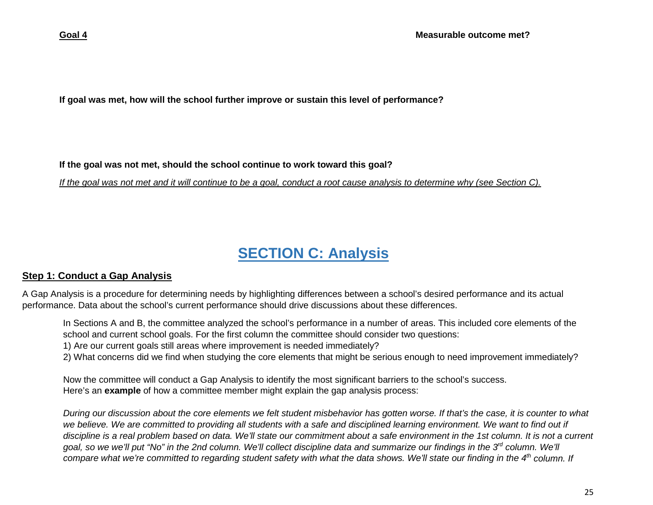**If goal was met, how will the school further improve or sustain this level of performance?**

**If the goal was not met, should the school continue to work toward this goal?**

*If the goal was not met and it will continue to be a goal, conduct a root cause analysis to determine why (see Section C).*

# **SECTION C: Analysis**

### **Step 1: Conduct a Gap Analysis**

A Gap Analysis is a procedure for determining needs by highlighting differences between a school's desired performance and its actual performance. Data about the school's current performance should drive discussions about these differences.

In Sections A and B, the committee analyzed the school's performance in a number of areas. This included core elements of the school and current school goals. For the first column the committee should consider two questions:

1) Are our current goals still areas where improvement is needed immediately?

2) What concerns did we find when studying the core elements that might be serious enough to need improvement immediately?

Now the committee will conduct a Gap Analysis to identify the most significant barriers to the school's success. Here's an **example** of how a committee member might explain the gap analysis process:

*During our discussion about the core elements we felt student misbehavior has gotten worse. If that's the case, it is counter to what we believe. We are committed to providing all students with a safe and disciplined learning environment. We want to find out if discipline is a real problem based on data. We'll state our commitment about a safe environment in the 1st column. It is not a current goal, so we we'll put "No" in the 2nd column. We'll collect discipline data and summarize our findings in the 3rd column. We'll compare what we're committed to regarding student safety with what the data shows. We'll state our finding in the 4<sup>th</sup> column. If*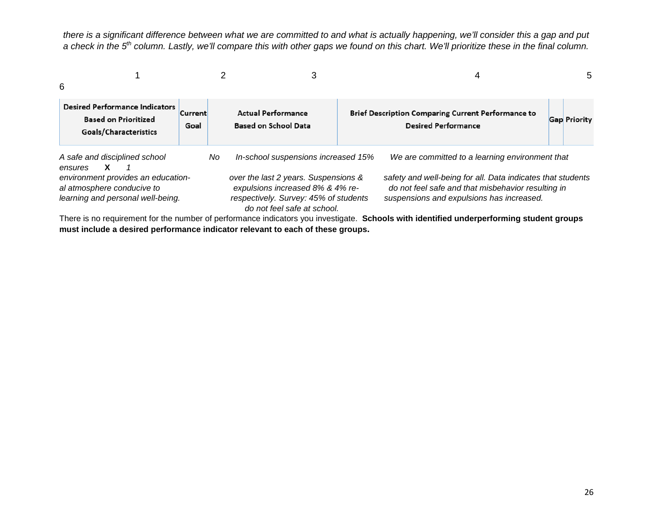*there is a significant difference between what we are committed to and what is actually happening, we'll consider this a gap and put a check in the 5th column. Lastly, we'll compare this with other gaps we found on this chart. We'll prioritize these in the final column.* 

| 6                                                                                                     |                        |     | 3                                                                                                                                                | 4                                                                                                                                                              |  | 5                   |  |  |
|-------------------------------------------------------------------------------------------------------|------------------------|-----|--------------------------------------------------------------------------------------------------------------------------------------------------|----------------------------------------------------------------------------------------------------------------------------------------------------------------|--|---------------------|--|--|
| <b>Desired Performance Indicators</b><br><b>Based on Prioritized</b><br>Goals/Characteristics         | <b>Current</b><br>Goal |     | <b>Actual Performance</b><br><b>Based on School Data</b>                                                                                         | <b>Brief Description Comparing Current Performance to</b><br><b>Desired Performance</b>                                                                        |  | <b>Gap Priority</b> |  |  |
| A safe and disciplined school<br>X<br>ensures                                                         |                        | No. | In-school suspensions increased 15%                                                                                                              | We are committed to a learning environment that                                                                                                                |  |                     |  |  |
| environment provides an education-<br>al atmosphere conducive to<br>learning and personal well-being. |                        |     | over the last 2 years. Suspensions &<br>expulsions increased 8% & 4% re-<br>respectively. Survey: 45% of students<br>do not feel safe at school. | safety and well-being for all. Data indicates that students<br>do not feel safe and that misbehavior resulting in<br>suspensions and expulsions has increased. |  |                     |  |  |

There is no requirement for the number of performance indicators you investigate. **Schools with identified underperforming student groups must include a desired performance indicator relevant to each of these groups.**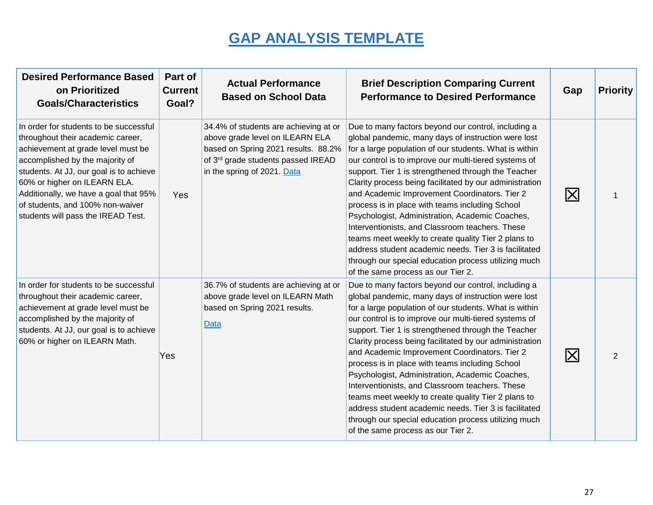# **GAP ANALYSIS TEMPLATE**

| <b>Desired Performance Based</b><br>on Prioritized<br><b>Goals/Characteristics</b>                                                                                                                                                                                                                                                                 | Part of<br><b>Current</b><br>Goal? | <b>Actual Performance</b><br><b>Based on School Data</b>                                                                                                                             | <b>Brief Description Comparing Current</b><br><b>Performance to Desired Performance</b>                                                                                                                                                                                                                                                                                                                                                                                                                                                                                                                                                                                                                                                                                 | Gap          | <b>Priority</b> |
|----------------------------------------------------------------------------------------------------------------------------------------------------------------------------------------------------------------------------------------------------------------------------------------------------------------------------------------------------|------------------------------------|--------------------------------------------------------------------------------------------------------------------------------------------------------------------------------------|-------------------------------------------------------------------------------------------------------------------------------------------------------------------------------------------------------------------------------------------------------------------------------------------------------------------------------------------------------------------------------------------------------------------------------------------------------------------------------------------------------------------------------------------------------------------------------------------------------------------------------------------------------------------------------------------------------------------------------------------------------------------------|--------------|-----------------|
| In order for students to be successful<br>throughout their academic career,<br>achievement at grade level must be<br>accomplished by the majority of<br>students. At JJ, our goal is to achieve<br>60% or higher on ILEARN ELA.<br>Additionally, we have a goal that 95%<br>of students, and 100% non-waiver<br>students will pass the IREAD Test. | Yes                                | 34.4% of students are achieving at or<br>above grade level on ILEARN ELA<br>based on Spring 2021 results. 88.2%<br>of 3rd grade students passed IREAD<br>in the spring of 2021. Data | Due to many factors beyond our control, including a<br>global pandemic, many days of instruction were lost<br>for a large population of our students. What is within<br>our control is to improve our multi-tiered systems of<br>support. Tier 1 is strengthened through the Teacher<br>Clarity process being facilitated by our administration<br>and Academic Improvement Coordinators. Tier 2<br>process is in place with teams including School<br>Psychologist, Administration, Academic Coaches,<br>Interventionists, and Classroom teachers. These<br>teams meet weekly to create quality Tier 2 plans to<br>address student academic needs. Tier 3 is facilitated<br>through our special education process utilizing much<br>of the same process as our Tier 2. | $\mathsf{X}$ |                 |
| In order for students to be successful<br>throughout their academic career,<br>achievement at grade level must be<br>accomplished by the majority of<br>students. At JJ, our goal is to achieve<br>60% or higher on ILEARN Math.                                                                                                                   | <b>Yes</b>                         | 36.7% of students are achieving at or<br>above grade level on ILEARN Math<br>based on Spring 2021 results.<br><b>Data</b>                                                            | Due to many factors beyond our control, including a<br>global pandemic, many days of instruction were lost<br>for a large population of our students. What is within<br>our control is to improve our multi-tiered systems of<br>support. Tier 1 is strengthened through the Teacher<br>Clarity process being facilitated by our administration<br>and Academic Improvement Coordinators. Tier 2<br>process is in place with teams including School<br>Psychologist, Administration, Academic Coaches,<br>Interventionists, and Classroom teachers. These<br>teams meet weekly to create quality Tier 2 plans to<br>address student academic needs. Tier 3 is facilitated<br>through our special education process utilizing much<br>of the same process as our Tier 2. | $ \times $   | 2               |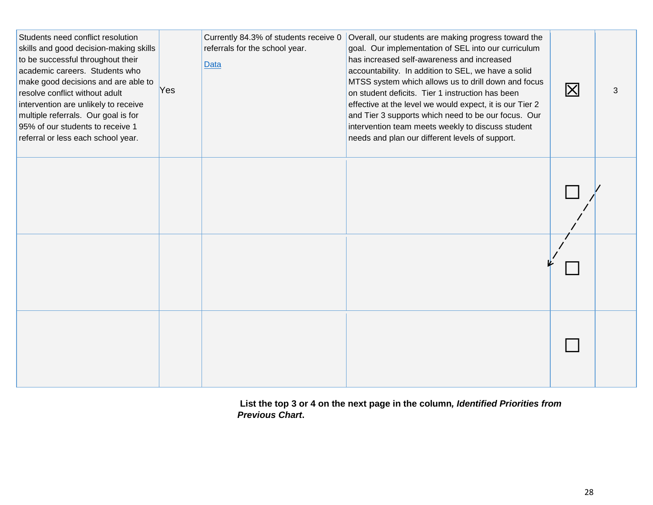| Students need conflict resolution<br>skills and good decision-making skills<br>to be successful throughout their<br>academic careers. Students who<br>make good decisions and are able to<br>resolve conflict without adult<br>intervention are unlikely to receive<br>multiple referrals. Our goal is for<br>95% of our students to receive 1<br>referral or less each school year. | Yes | Currently 84.3% of students receive 0<br>referrals for the school year.<br><b>Data</b> | Overall, our students are making progress toward the<br>goal. Our implementation of SEL into our curriculum<br>has increased self-awareness and increased<br>accountability. In addition to SEL, we have a solid<br>MTSS system which allows us to drill down and focus<br>on student deficits. Tier 1 instruction has been<br>effective at the level we would expect, it is our Tier 2<br>and Tier 3 supports which need to be our focus. Our<br>intervention team meets weekly to discuss student<br>needs and plan our different levels of support. | $\boxtimes$ | 3 |
|--------------------------------------------------------------------------------------------------------------------------------------------------------------------------------------------------------------------------------------------------------------------------------------------------------------------------------------------------------------------------------------|-----|----------------------------------------------------------------------------------------|--------------------------------------------------------------------------------------------------------------------------------------------------------------------------------------------------------------------------------------------------------------------------------------------------------------------------------------------------------------------------------------------------------------------------------------------------------------------------------------------------------------------------------------------------------|-------------|---|
|                                                                                                                                                                                                                                                                                                                                                                                      |     |                                                                                        |                                                                                                                                                                                                                                                                                                                                                                                                                                                                                                                                                        |             |   |
|                                                                                                                                                                                                                                                                                                                                                                                      |     |                                                                                        |                                                                                                                                                                                                                                                                                                                                                                                                                                                                                                                                                        |             |   |
|                                                                                                                                                                                                                                                                                                                                                                                      |     |                                                                                        |                                                                                                                                                                                                                                                                                                                                                                                                                                                                                                                                                        |             |   |

**List the top 3 or 4 on the next page in the column***, Identified Priorities from Previous Chart***.**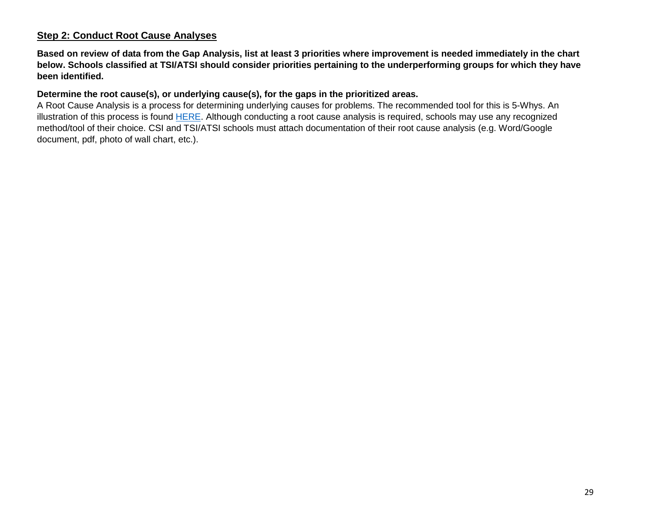#### **Step 2: Conduct Root Cause Analyses**

**Based on review of data from the Gap Analysis, list at least 3 priorities where improvement is needed immediately in the chart below. Schools classified at TSI/ATSI should consider priorities pertaining to the underperforming groups for which they have been identified.**

#### **Determine the root cause(s), or underlying cause(s), for the gaps in the prioritized areas.**

A Root Cause Analysis is a process for determining underlying causes for problems. The recommended tool for this is 5-Whys. An illustration of this process is found [HERE.](https://www.doe.in.gov/sites/default/files/school-improvement/5-why-root-cause-analysis.pdf) Although conducting a root cause analysis is required, schools may use any recognized method/tool of their choice. CSI and TSI/ATSI schools must attach documentation of their root cause analysis (e.g. Word/Google document, pdf, photo of wall chart, etc.).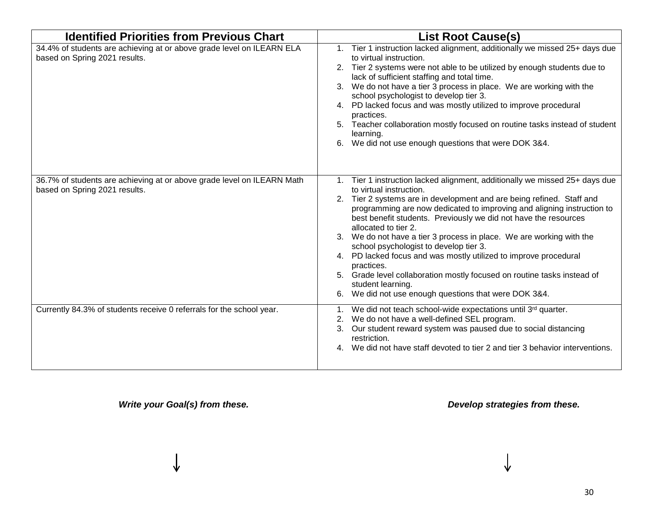| <b>Identified Priorities from Previous Chart</b>                                                        | <b>List Root Cause(s)</b>                                                                                                                                                                                                                                                                                                                                                                                                                                                                                                                                                                                                                                                                                                    |
|---------------------------------------------------------------------------------------------------------|------------------------------------------------------------------------------------------------------------------------------------------------------------------------------------------------------------------------------------------------------------------------------------------------------------------------------------------------------------------------------------------------------------------------------------------------------------------------------------------------------------------------------------------------------------------------------------------------------------------------------------------------------------------------------------------------------------------------------|
| 34.4% of students are achieving at or above grade level on ILEARN ELA<br>based on Spring 2021 results.  | Tier 1 instruction lacked alignment, additionally we missed 25+ days due<br>to virtual instruction.<br>2. Tier 2 systems were not able to be utilized by enough students due to<br>lack of sufficient staffing and total time.<br>We do not have a tier 3 process in place. We are working with the<br>school psychologist to develop tier 3.<br>PD lacked focus and was mostly utilized to improve procedural<br>4.<br>practices.<br>Teacher collaboration mostly focused on routine tasks instead of student<br>5.<br>learning.<br>We did not use enough questions that were DOK 3&4.<br>6.                                                                                                                                |
| 36.7% of students are achieving at or above grade level on ILEARN Math<br>based on Spring 2021 results. | Tier 1 instruction lacked alignment, additionally we missed 25+ days due<br>$1_{-}$<br>to virtual instruction.<br>Tier 2 systems are in development and are being refined. Staff and<br>2.<br>programming are now dedicated to improving and aligning instruction to<br>best benefit students. Previously we did not have the resources<br>allocated to tier 2.<br>3. We do not have a tier 3 process in place. We are working with the<br>school psychologist to develop tier 3.<br>4. PD lacked focus and was mostly utilized to improve procedural<br>practices.<br>Grade level collaboration mostly focused on routine tasks instead of<br>student learning.<br>We did not use enough questions that were DOK 3&4.<br>6. |
| Currently 84.3% of students receive 0 referrals for the school year.                                    | We did not teach school-wide expectations until 3rd quarter.<br>We do not have a well-defined SEL program.<br>2.<br>Our student reward system was paused due to social distancing<br>3.<br>restriction.<br>We did not have staff devoted to tier 2 and tier 3 behavior interventions.                                                                                                                                                                                                                                                                                                                                                                                                                                        |

*Write your Goal(s) from these. Develop strategies from these.*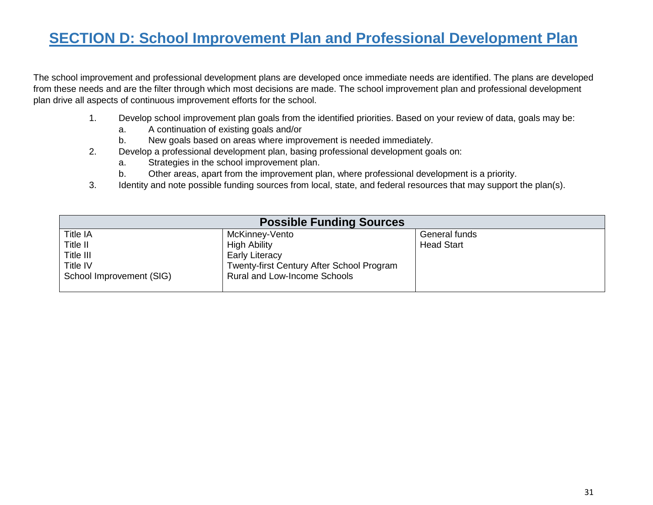## **SECTION D: School Improvement Plan and Professional Development Plan**

The school improvement and professional development plans are developed once immediate needs are identified. The plans are developed from these needs and are the filter through which most decisions are made. The school improvement plan and professional development plan drive all aspects of continuous improvement efforts for the school.

- 1. Develop school improvement plan goals from the identified priorities. Based on your review of data, goals may be:
	- a. A continuation of existing goals and/or
	- b. New goals based on areas where improvement is needed immediately.
- 2. Develop a professional development plan, basing professional development goals on:
	- a. Strategies in the school improvement plan.
	- b. Other areas, apart from the improvement plan, where professional development is a priority.
- 3. Identity and note possible funding sources from local, state, and federal resources that may support the plan(s).

| <b>Possible Funding Sources</b> |                                           |                   |  |  |
|---------------------------------|-------------------------------------------|-------------------|--|--|
| <b>Title IA</b>                 | McKinney-Vento                            | General funds     |  |  |
| Title II                        | <b>High Ability</b>                       | <b>Head Start</b> |  |  |
| Title III                       | <b>Early Literacy</b>                     |                   |  |  |
| Title IV                        | Twenty-first Century After School Program |                   |  |  |
| School Improvement (SIG)        | Rural and Low-Income Schools              |                   |  |  |
|                                 |                                           |                   |  |  |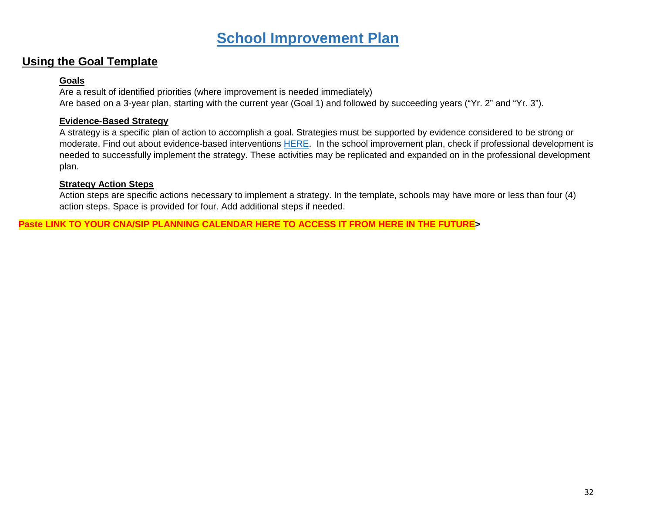### **School Improvement Plan**

### **Using the Goal Template**

#### **Goals**

Are a result of identified priorities (where improvement is needed immediately) Are based on a 3-year plan, starting with the current year (Goal 1) and followed by succeeding years ("Yr. 2" and "Yr. 3").

#### **Evidence-Based Strategy**

A strategy is a specific plan of action to accomplish a goal. Strategies must be supported by evidence considered to be strong or moderate. Find out about evidence-based interventions [HERE.](https://www.doe.in.gov/grants/ebiclearinghouse) In the school improvement plan, check if professional development is needed to successfully implement the strategy. These activities may be replicated and expanded on in the professional development plan.

#### **Strategy Action Steps**

Action steps are specific actions necessary to implement a strategy. In the template, schools may have more or less than four (4) action steps. Space is provided for four. Add additional steps if needed.

**Paste LINK TO YOUR CNA/SIP PLANNING CALENDAR HERE TO ACCESS IT FROM HERE IN THE FUTURE>**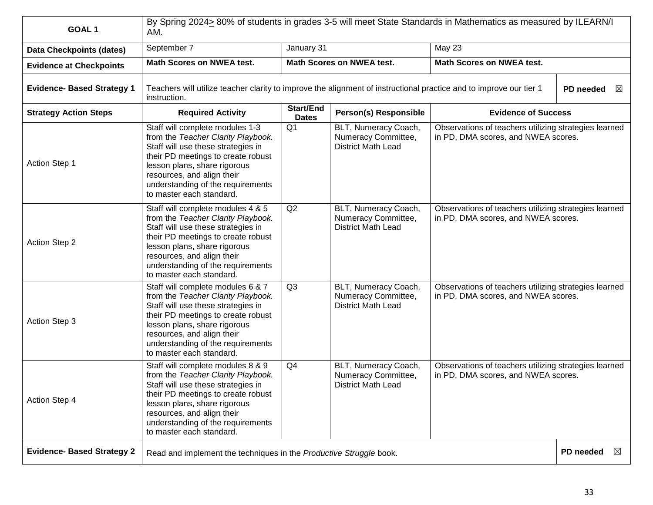| GOAL <sub>1</sub>                 | By Spring 2024> 80% of students in grades 3-5 will meet State Standards in Mathematics as measured by ILEARN/I<br>AM.                                                                                                                                                              |                                  |                                                                          |                                                                                              |                          |
|-----------------------------------|------------------------------------------------------------------------------------------------------------------------------------------------------------------------------------------------------------------------------------------------------------------------------------|----------------------------------|--------------------------------------------------------------------------|----------------------------------------------------------------------------------------------|--------------------------|
| <b>Data Checkpoints (dates)</b>   | September 7                                                                                                                                                                                                                                                                        | January 31<br>May 23             |                                                                          |                                                                                              |                          |
| <b>Evidence at Checkpoints</b>    | <b>Math Scores on NWEA test.</b>                                                                                                                                                                                                                                                   | <b>Math Scores on NWEA test.</b> |                                                                          | <b>Math Scores on NWEA test.</b>                                                             |                          |
| <b>Evidence- Based Strategy 1</b> | Teachers will utilize teacher clarity to improve the alignment of instructional practice and to improve our tier 1<br>instruction.                                                                                                                                                 |                                  |                                                                          |                                                                                              | PD needed<br>$\boxtimes$ |
| <b>Strategy Action Steps</b>      | <b>Required Activity</b>                                                                                                                                                                                                                                                           | <b>Start/End</b><br><b>Dates</b> | <b>Person(s) Responsible</b>                                             | <b>Evidence of Success</b>                                                                   |                          |
| Action Step 1                     | Staff will complete modules 1-3<br>from the Teacher Clarity Playbook.<br>Staff will use these strategies in<br>their PD meetings to create robust<br>lesson plans, share rigorous<br>resources, and align their<br>understanding of the requirements<br>to master each standard.   | Q <sub>1</sub>                   | BLT, Numeracy Coach,<br>Numeracy Committee,<br><b>District Math Lead</b> | Observations of teachers utilizing strategies learned<br>in PD, DMA scores, and NWEA scores. |                          |
| <b>Action Step 2</b>              | Staff will complete modules 4 & 5<br>from the Teacher Clarity Playbook.<br>Staff will use these strategies in<br>their PD meetings to create robust<br>lesson plans, share rigorous<br>resources, and align their<br>understanding of the requirements<br>to master each standard. | Q2                               | BLT, Numeracy Coach,<br>Numeracy Committee,<br><b>District Math Lead</b> | Observations of teachers utilizing strategies learned<br>in PD, DMA scores, and NWEA scores. |                          |
| Action Step 3                     | Staff will complete modules 6 & 7<br>from the Teacher Clarity Playbook.<br>Staff will use these strategies in<br>their PD meetings to create robust<br>lesson plans, share rigorous<br>resources, and align their<br>understanding of the requirements<br>to master each standard. | Q <sub>3</sub>                   | BLT, Numeracy Coach,<br>Numeracy Committee,<br><b>District Math Lead</b> | Observations of teachers utilizing strategies learned<br>in PD, DMA scores, and NWEA scores. |                          |
| Action Step 4                     | Staff will complete modules 8 & 9<br>from the Teacher Clarity Playbook.<br>Staff will use these strategies in<br>their PD meetings to create robust<br>lesson plans, share rigorous<br>resources, and align their<br>understanding of the requirements<br>to master each standard. | Q4                               | BLT, Numeracy Coach,<br>Numeracy Committee,<br><b>District Math Lead</b> | Observations of teachers utilizing strategies learned<br>in PD, DMA scores, and NWEA scores. |                          |
| <b>Evidence- Based Strategy 2</b> | Read and implement the techniques in the Productive Struggle book.                                                                                                                                                                                                                 |                                  |                                                                          |                                                                                              | PD needed<br>$\bowtie$   |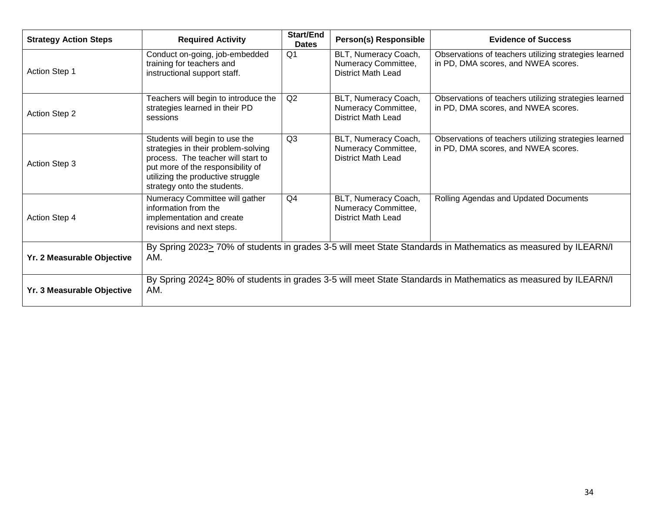| <b>Strategy Action Steps</b> | <b>Required Activity</b>                                                                                                                                                                                             | <b>Start/End</b><br><b>Dates</b> | Person(s) Responsible                                                    | <b>Evidence of Success</b>                                                                   |
|------------------------------|----------------------------------------------------------------------------------------------------------------------------------------------------------------------------------------------------------------------|----------------------------------|--------------------------------------------------------------------------|----------------------------------------------------------------------------------------------|
| <b>Action Step 1</b>         | Conduct on-going, job-embedded<br>training for teachers and<br>instructional support staff.                                                                                                                          | Q <sub>1</sub>                   | BLT, Numeracy Coach,<br>Numeracy Committee,<br><b>District Math Lead</b> | Observations of teachers utilizing strategies learned<br>in PD, DMA scores, and NWEA scores. |
| <b>Action Step 2</b>         | Teachers will begin to introduce the<br>strategies learned in their PD<br>sessions                                                                                                                                   | Q2                               | BLT, Numeracy Coach,<br>Numeracy Committee,<br><b>District Math Lead</b> | Observations of teachers utilizing strategies learned<br>in PD, DMA scores, and NWEA scores. |
| Action Step 3                | Students will begin to use the<br>strategies in their problem-solving<br>process. The teacher will start to<br>put more of the responsibility of<br>utilizing the productive struggle<br>strategy onto the students. | Q <sub>3</sub>                   | BLT, Numeracy Coach,<br>Numeracy Committee,<br><b>District Math Lead</b> | Observations of teachers utilizing strategies learned<br>in PD, DMA scores, and NWEA scores. |
| Action Step 4                | Numeracy Committee will gather<br>information from the<br>implementation and create<br>revisions and next steps.                                                                                                     | Q4                               | BLT, Numeracy Coach,<br>Numeracy Committee,<br><b>District Math Lead</b> | Rolling Agendas and Updated Documents                                                        |
| Yr. 2 Measurable Objective   | By Spring 2023> 70% of students in grades 3-5 will meet State Standards in Mathematics as measured by ILEARN/I<br>AM.                                                                                                |                                  |                                                                          |                                                                                              |
| Yr. 3 Measurable Objective   | By Spring 2024> 80% of students in grades 3-5 will meet State Standards in Mathematics as measured by ILEARN/I<br>AM.                                                                                                |                                  |                                                                          |                                                                                              |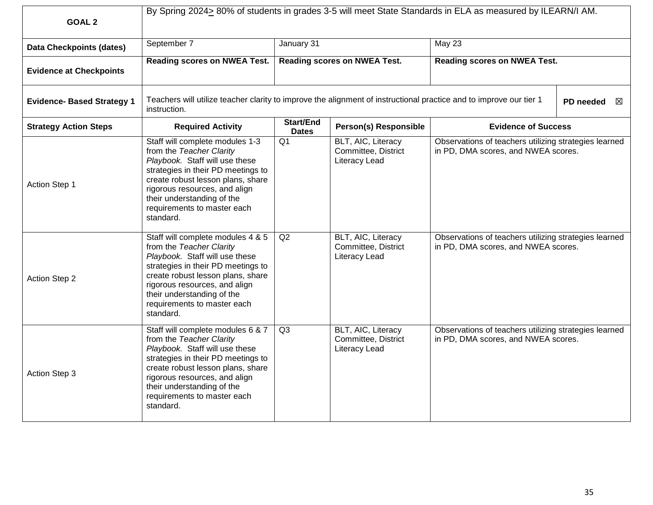| <b>GOAL 2</b>                     | By Spring 2024> 80% of students in grades 3-5 will meet State Standards in ELA as measured by ILEARN/I AM.                                                                                                                                                                            |                                  |                                                                   |                                                                                              |                |
|-----------------------------------|---------------------------------------------------------------------------------------------------------------------------------------------------------------------------------------------------------------------------------------------------------------------------------------|----------------------------------|-------------------------------------------------------------------|----------------------------------------------------------------------------------------------|----------------|
| <b>Data Checkpoints (dates)</b>   | September 7                                                                                                                                                                                                                                                                           | January 31                       |                                                                   | <b>May 23</b>                                                                                |                |
| <b>Evidence at Checkpoints</b>    | Reading scores on NWEA Test.                                                                                                                                                                                                                                                          | Reading scores on NWEA Test.     |                                                                   | <b>Reading scores on NWEA Test.</b>                                                          |                |
| <b>Evidence- Based Strategy 1</b> | Teachers will utilize teacher clarity to improve the alignment of instructional practice and to improve our tier 1<br>instruction.                                                                                                                                                    |                                  |                                                                   |                                                                                              | PD needed<br>X |
| <b>Strategy Action Steps</b>      | <b>Required Activity</b>                                                                                                                                                                                                                                                              | <b>Start/End</b><br><b>Dates</b> | <b>Person(s) Responsible</b>                                      | <b>Evidence of Success</b>                                                                   |                |
| Action Step 1                     | Staff will complete modules 1-3<br>from the Teacher Clarity<br>Playbook. Staff will use these<br>strategies in their PD meetings to<br>create robust lesson plans, share<br>rigorous resources, and align<br>their understanding of the<br>requirements to master each<br>standard.   | Q <sub>1</sub>                   | BLT, AIC, Literacy<br>Committee, District<br>Literacy Lead        | Observations of teachers utilizing strategies learned<br>in PD, DMA scores, and NWEA scores. |                |
| Action Step 2                     | Staff will complete modules 4 & 5<br>from the Teacher Clarity<br>Playbook. Staff will use these<br>strategies in their PD meetings to<br>create robust lesson plans, share<br>rigorous resources, and align<br>their understanding of the<br>requirements to master each<br>standard. | Q2                               | <b>BLT, AIC, Literacy</b><br>Committee, District<br>Literacy Lead | Observations of teachers utilizing strategies learned<br>in PD, DMA scores, and NWEA scores. |                |
| Action Step 3                     | Staff will complete modules 6 & 7<br>from the Teacher Clarity<br>Playbook. Staff will use these<br>strategies in their PD meetings to<br>create robust lesson plans, share<br>rigorous resources, and align<br>their understanding of the<br>requirements to master each<br>standard. | Q <sub>3</sub>                   | BLT, AIC, Literacy<br>Committee, District<br>Literacy Lead        | Observations of teachers utilizing strategies learned<br>in PD, DMA scores, and NWEA scores. |                |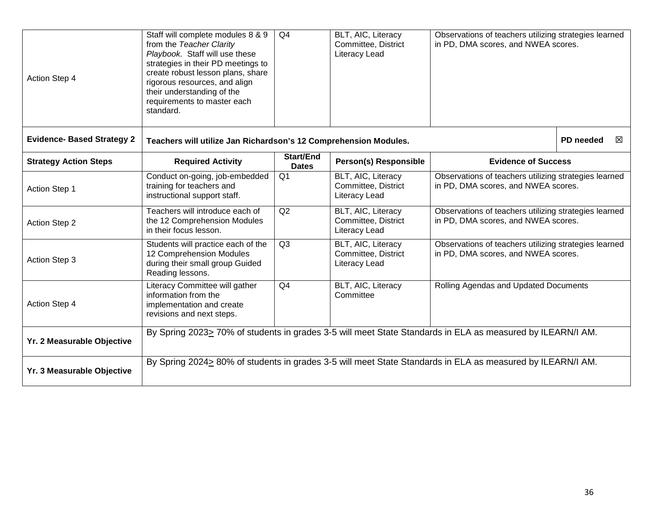| Action Step 4                     | Staff will complete modules 8 & 9<br>from the Teacher Clarity<br>Playbook. Staff will use these<br>strategies in their PD meetings to<br>create robust lesson plans, share<br>rigorous resources, and align<br>their understanding of the<br>requirements to master each<br>standard. | Q4                               | BLT, AIC, Literacy<br>Committee, District<br>Literacy Lead | Observations of teachers utilizing strategies learned<br>in PD, DMA scores, and NWEA scores. |                |
|-----------------------------------|---------------------------------------------------------------------------------------------------------------------------------------------------------------------------------------------------------------------------------------------------------------------------------------|----------------------------------|------------------------------------------------------------|----------------------------------------------------------------------------------------------|----------------|
| <b>Evidence- Based Strategy 2</b> | Teachers will utilize Jan Richardson's 12 Comprehension Modules.                                                                                                                                                                                                                      |                                  |                                                            |                                                                                              | PD needed<br>図 |
| <b>Strategy Action Steps</b>      | <b>Required Activity</b>                                                                                                                                                                                                                                                              | <b>Start/End</b><br><b>Dates</b> | <b>Person(s) Responsible</b>                               | <b>Evidence of Success</b>                                                                   |                |
| <b>Action Step 1</b>              | Conduct on-going, job-embedded<br>training for teachers and<br>instructional support staff.                                                                                                                                                                                           | Q <sub>1</sub>                   | BLT, AIC, Literacy<br>Committee, District<br>Literacy Lead | Observations of teachers utilizing strategies learned<br>in PD, DMA scores, and NWEA scores. |                |
| Action Step 2                     | Teachers will introduce each of<br>the 12 Comprehension Modules<br>in their focus lesson.                                                                                                                                                                                             | Q2                               | BLT, AIC, Literacy<br>Committee, District<br>Literacy Lead | Observations of teachers utilizing strategies learned<br>in PD, DMA scores, and NWEA scores. |                |
| Action Step 3                     | Students will practice each of the<br>12 Comprehension Modules<br>during their small group Guided<br>Reading lessons.                                                                                                                                                                 | Q <sub>3</sub>                   | BLT, AIC, Literacy<br>Committee, District<br>Literacy Lead | Observations of teachers utilizing strategies learned<br>in PD, DMA scores, and NWEA scores. |                |
| Action Step 4                     | Literacy Committee will gather<br>information from the<br>implementation and create<br>revisions and next steps.                                                                                                                                                                      | Q4                               | BLT, AIC, Literacy<br>Committee                            | Rolling Agendas and Updated Documents                                                        |                |
| Yr. 2 Measurable Objective        | By Spring 2023> 70% of students in grades 3-5 will meet State Standards in ELA as measured by ILEARN/I AM.                                                                                                                                                                            |                                  |                                                            |                                                                                              |                |
| Yr. 3 Measurable Objective        | By Spring 2024> 80% of students in grades 3-5 will meet State Standards in ELA as measured by ILEARN/I AM.                                                                                                                                                                            |                                  |                                                            |                                                                                              |                |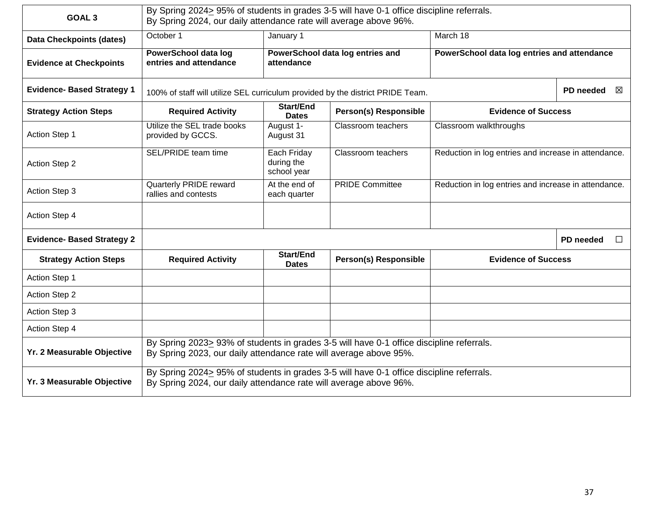| GOAL <sub>3</sub>                 | By Spring 2024> 95% of students in grades 3-5 will have 0-1 office discipline referrals.<br>By Spring 2024, our daily attendance rate will average above 96%. |                                          |                                                                                 |                                                      |                     |
|-----------------------------------|---------------------------------------------------------------------------------------------------------------------------------------------------------------|------------------------------------------|---------------------------------------------------------------------------------|------------------------------------------------------|---------------------|
| <b>Data Checkpoints (dates)</b>   | October 1                                                                                                                                                     | January 1                                | March 18                                                                        |                                                      |                     |
| <b>Evidence at Checkpoints</b>    | <b>PowerSchool data log</b><br>entries and attendance                                                                                                         | attendance                               | PowerSchool data log entries and<br>PowerSchool data log entries and attendance |                                                      |                     |
| <b>Evidence- Based Strategy 1</b> |                                                                                                                                                               |                                          | 100% of staff will utilize SEL curriculum provided by the district PRIDE Team.  |                                                      |                     |
| <b>Strategy Action Steps</b>      | <b>Required Activity</b>                                                                                                                                      | Start/End<br><b>Dates</b>                | <b>Person(s) Responsible</b>                                                    | <b>Evidence of Success</b>                           |                     |
| Action Step 1                     | Utilize the SEL trade books<br>provided by GCCS.                                                                                                              | August 1-<br>August 31                   | Classroom teachers                                                              | Classroom walkthroughs                               |                     |
| <b>Action Step 2</b>              | SEL/PRIDE team time                                                                                                                                           | Each Friday<br>during the<br>school year | Classroom teachers                                                              | Reduction in log entries and increase in attendance. |                     |
| Action Step 3                     | <b>Quarterly PRIDE reward</b><br>rallies and contests                                                                                                         | At the end of<br>each quarter            | <b>PRIDE Committee</b>                                                          | Reduction in log entries and increase in attendance. |                     |
| Action Step 4                     |                                                                                                                                                               |                                          |                                                                                 |                                                      |                     |
| <b>Evidence- Based Strategy 2</b> |                                                                                                                                                               |                                          |                                                                                 |                                                      | PD needed<br>$\Box$ |
| <b>Strategy Action Steps</b>      | <b>Required Activity</b>                                                                                                                                      | <b>Start/End</b><br><b>Dates</b>         | <b>Person(s) Responsible</b>                                                    | <b>Evidence of Success</b>                           |                     |
| <b>Action Step 1</b>              |                                                                                                                                                               |                                          |                                                                                 |                                                      |                     |
| <b>Action Step 2</b>              |                                                                                                                                                               |                                          |                                                                                 |                                                      |                     |
| Action Step 3                     |                                                                                                                                                               |                                          |                                                                                 |                                                      |                     |
| Action Step 4                     |                                                                                                                                                               |                                          |                                                                                 |                                                      |                     |
| Yr. 2 Measurable Objective        | By Spring 2023> 93% of students in grades 3-5 will have 0-1 office discipline referrals.<br>By Spring 2023, our daily attendance rate will average above 95%. |                                          |                                                                                 |                                                      |                     |
| Yr. 3 Measurable Objective        | By Spring 2024> 95% of students in grades 3-5 will have 0-1 office discipline referrals.<br>By Spring 2024, our daily attendance rate will average above 96%. |                                          |                                                                                 |                                                      |                     |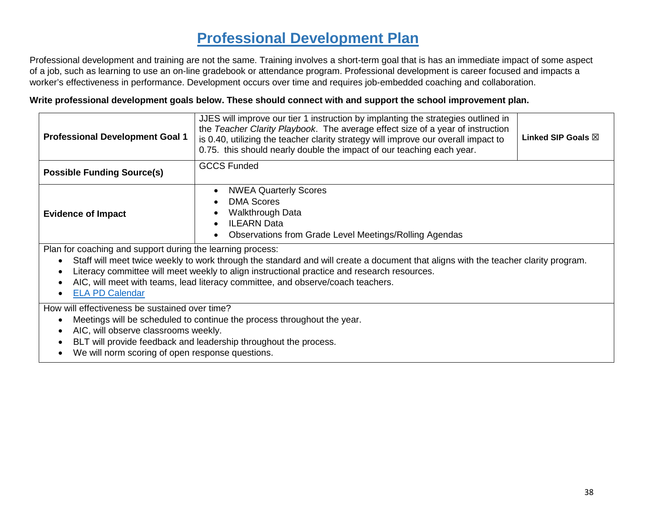### **Professional Development Plan**

Professional development and training are not the same. Training involves a short-term goal that is has an immediate impact of some aspect of a job, such as learning to use an on-line gradebook or attendance program. Professional development is career focused and impacts a worker's effectiveness in performance. Development occurs over time and requires job-embedded coaching and collaboration.

#### **Write professional development goals below. These should connect with and support the school improvement plan.**

| <b>Professional Development Goal 1</b>                                                                                                                                                                                                                                                                                                                                                                       | JJES will improve our tier 1 instruction by implanting the strategies outlined in<br>the Teacher Clarity Playbook. The average effect size of a year of instruction<br>Linked SIP Goals $\boxtimes$<br>is 0.40, utilizing the teacher clarity strategy will improve our overall impact to<br>0.75. this should nearly double the impact of our teaching each year. |  |  |  |
|--------------------------------------------------------------------------------------------------------------------------------------------------------------------------------------------------------------------------------------------------------------------------------------------------------------------------------------------------------------------------------------------------------------|--------------------------------------------------------------------------------------------------------------------------------------------------------------------------------------------------------------------------------------------------------------------------------------------------------------------------------------------------------------------|--|--|--|
| <b>Possible Funding Source(s)</b>                                                                                                                                                                                                                                                                                                                                                                            | <b>GCCS Funded</b>                                                                                                                                                                                                                                                                                                                                                 |  |  |  |
| <b>NWEA Quarterly Scores</b><br>$\bullet$<br><b>DMA Scores</b><br>Walkthrough Data<br><b>Evidence of Impact</b><br><b>ILEARN Data</b><br>Observations from Grade Level Meetings/Rolling Agendas                                                                                                                                                                                                              |                                                                                                                                                                                                                                                                                                                                                                    |  |  |  |
| Plan for coaching and support during the learning process:<br>Staff will meet twice weekly to work through the standard and will create a document that aligns with the teacher clarity program.<br>Literacy committee will meet weekly to align instructional practice and research resources.<br>AIC, will meet with teams, lead literacy committee, and observe/coach teachers.<br><b>ELA PD Calendar</b> |                                                                                                                                                                                                                                                                                                                                                                    |  |  |  |
| How will effectiveness be sustained over time?<br>Meetings will be scheduled to continue the process throughout the year.<br>AIC, will observe classrooms weekly.<br>BLT will provide feedback and leadership throughout the process.<br>We will norm scoring of open response questions.                                                                                                                    |                                                                                                                                                                                                                                                                                                                                                                    |  |  |  |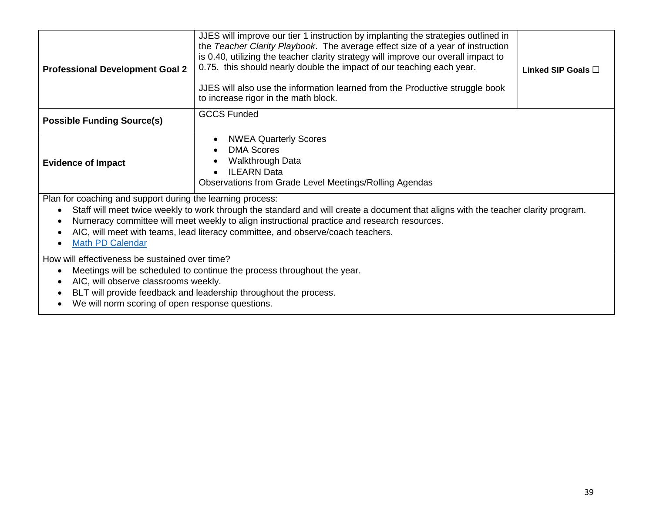| <b>Professional Development Goal 2</b>                                                                                                                                                                                                                                                                                                                                                                        | JJES will improve our tier 1 instruction by implanting the strategies outlined in<br>the Teacher Clarity Playbook. The average effect size of a year of instruction<br>is 0.40, utilizing the teacher clarity strategy will improve our overall impact to<br>0.75. this should nearly double the impact of our teaching each year.<br>JJES will also use the information learned from the Productive struggle book<br>to increase rigor in the math block. | Linked SIP Goals $\square$ |  |  |
|---------------------------------------------------------------------------------------------------------------------------------------------------------------------------------------------------------------------------------------------------------------------------------------------------------------------------------------------------------------------------------------------------------------|------------------------------------------------------------------------------------------------------------------------------------------------------------------------------------------------------------------------------------------------------------------------------------------------------------------------------------------------------------------------------------------------------------------------------------------------------------|----------------------------|--|--|
| <b>Possible Funding Source(s)</b>                                                                                                                                                                                                                                                                                                                                                                             | <b>GCCS Funded</b>                                                                                                                                                                                                                                                                                                                                                                                                                                         |                            |  |  |
| <b>NWEA Quarterly Scores</b><br><b>DMA Scores</b><br>Walkthrough Data<br><b>Evidence of Impact</b><br><b>ILEARN</b> Data<br>$\bullet$<br><b>Observations from Grade Level Meetings/Rolling Agendas</b>                                                                                                                                                                                                        |                                                                                                                                                                                                                                                                                                                                                                                                                                                            |                            |  |  |
| Plan for coaching and support during the learning process:<br>Staff will meet twice weekly to work through the standard and will create a document that aligns with the teacher clarity program.<br>Numeracy committee will meet weekly to align instructional practice and research resources.<br>AIC, will meet with teams, lead literacy committee, and observe/coach teachers.<br><b>Math PD Calendar</b> |                                                                                                                                                                                                                                                                                                                                                                                                                                                            |                            |  |  |
| How will effectiveness be sustained over time?                                                                                                                                                                                                                                                                                                                                                                |                                                                                                                                                                                                                                                                                                                                                                                                                                                            |                            |  |  |
|                                                                                                                                                                                                                                                                                                                                                                                                               | Meetings will be scheduled to continue the process throughout the year.                                                                                                                                                                                                                                                                                                                                                                                    |                            |  |  |
| AIC, will observe classrooms weekly.                                                                                                                                                                                                                                                                                                                                                                          |                                                                                                                                                                                                                                                                                                                                                                                                                                                            |                            |  |  |
|                                                                                                                                                                                                                                                                                                                                                                                                               | BLT will provide feedback and leadership throughout the process.                                                                                                                                                                                                                                                                                                                                                                                           |                            |  |  |
| We will norm scoring of open response questions.                                                                                                                                                                                                                                                                                                                                                              |                                                                                                                                                                                                                                                                                                                                                                                                                                                            |                            |  |  |